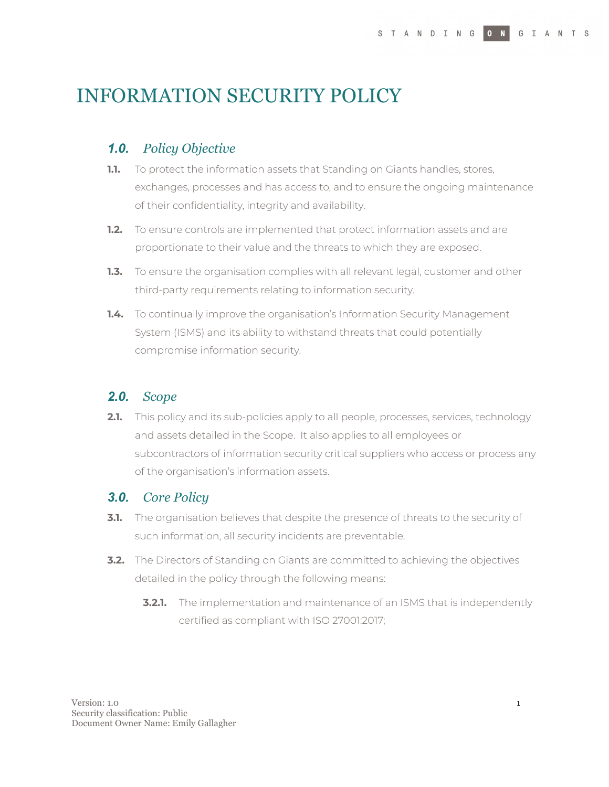# INFORMATION SECURITY POLICY

## *1.0. Policy Objective*

- **1.1.** To protect the information assets that Standing on Giants handles, stores, exchanges, processes and has access to, and to ensure the ongoing maintenance of their confidentiality, integrity and availability.
- **1.2.** To ensure controls are implemented that protect information assets and are proportionate to their value and the threats to which they are exposed.
- **1.3.** To ensure the organisation complies with all relevant legal, customer and other third-party requirements relating to information security.
- **1.4.** To continually improve the organisation's Information Security Management System (ISMS) and its ability to withstand threats that could potentially compromise information security.

## *2.0. Scope*

**2.1.** This policy and its sub-policies apply to all people, processes, services, technology and assets detailed in the Scope. It also applies to all employees or subcontractors of information security critical suppliers who access or process any of the organisation's information assets.

## *3.0. Core Policy*

- **3.1.** The organisation believes that despite the presence of threats to the security of such information, all security incidents are preventable.
- **3.2.** The Directors of Standing on Giants are committed to achieving the objectives detailed in the policy through the following means:
	- **3.2.1.** The implementation and maintenance of an ISMS that is independently certified as compliant with ISO 27001:2017;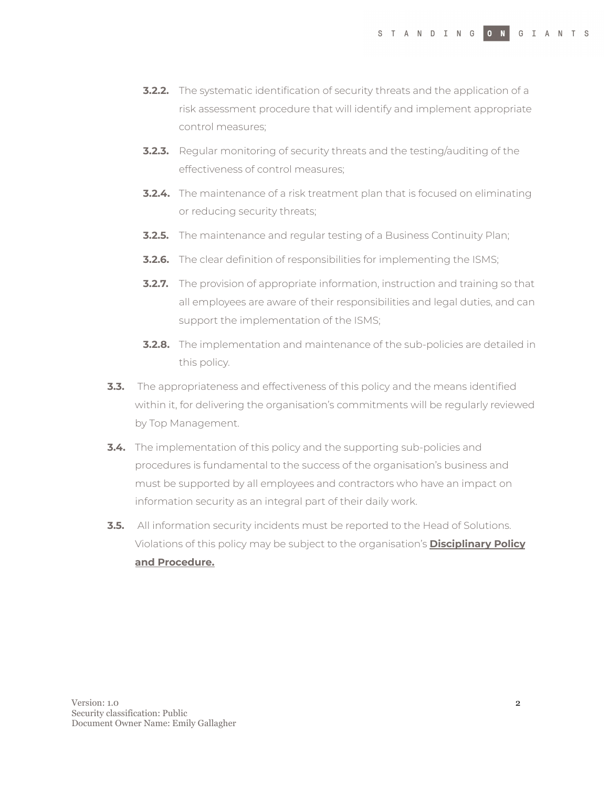- **3.2.2.** The systematic identification of security threats and the application of a risk assessment procedure that will identify and implement appropriate control measures;
- **3.2.3.** Regular monitoring of security threats and the testing/auditing of the effectiveness of control measures;
- **3.2.4.** The maintenance of a risk treatment plan that is focused on eliminating or reducing security threats;
- **3.2.5.** The maintenance and regular testing of a Business Continuity Plan;
- **3.2.6.** The clear definition of responsibilities for implementing the ISMS;
- **3.2.7.** The provision of appropriate information, instruction and training so that all employees are aware of their responsibilities and legal duties, and can support the implementation of the ISMS;
- **3.2.8.** The implementation and maintenance of the sub-policies are detailed in this policy.
- **3.3.** The appropriateness and effectiveness of this policy and the means identified within it, for delivering the organisation's commitments will be regularly reviewed by Top Management.
- **3.4.** The implementation of this policy and the supporting sub-policies and procedures is fundamental to the success of the organisation's business and must be supported by all employees and contractors who have an impact on information security as an integral part of their daily work.
- **3.5.** All information security incidents must be reported to the Head of Solutions. Violations of this policy may be subject to the organisation's **[Disciplinary](https://docs.google.com/document/d/1u-E_pqvMgHIQHYJfaWP-BYxe_Y8ioiUeMAShp47QgBs/edit#) Policy and [Procedure](https://docs.google.com/document/d/1u-E_pqvMgHIQHYJfaWP-BYxe_Y8ioiUeMAShp47QgBs/edit#).**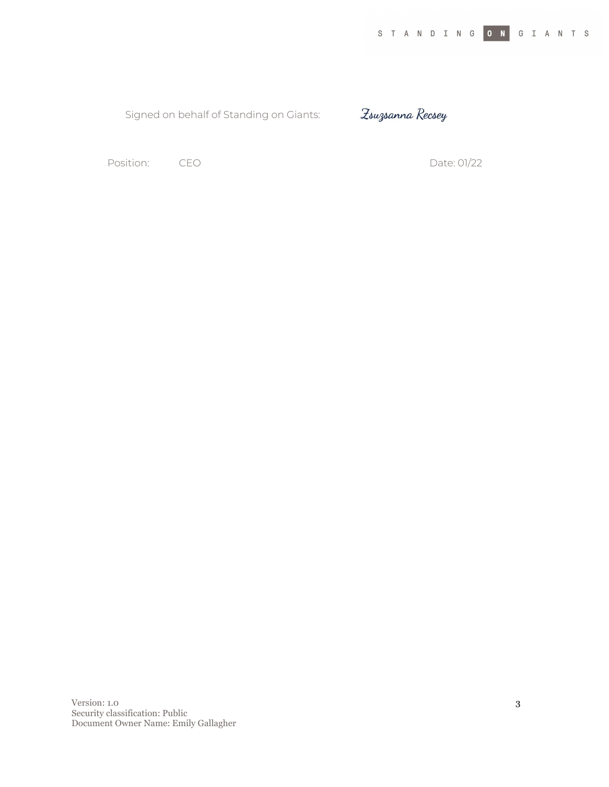Signed on behalf of Standing on Giants:

Zsuzsanna Recsey

Position: CEO COMPOSITION: CEO Date: 01/22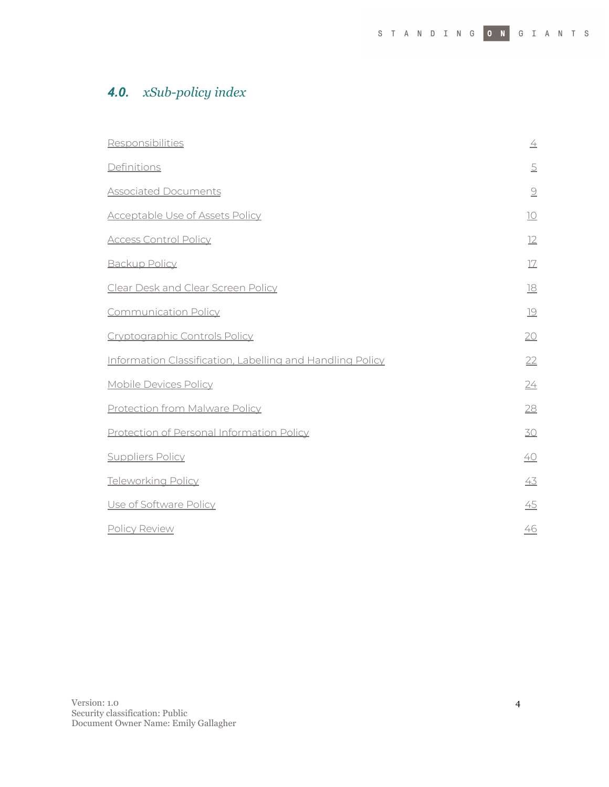## *4.0. xSub-policy index*

| Responsibilities                                          | $\overline{\pm}$          |
|-----------------------------------------------------------|---------------------------|
| Definitions                                               | $\overline{5}$            |
| <b>Associated Documents</b>                               | $\underline{\mathcal{Q}}$ |
| <b>Acceptable Use of Assets Policy</b>                    | $\underline{10}$          |
| <b>Access Control Policy</b>                              | 12                        |
| <b>Backup Policy</b>                                      | 17                        |
| Clear Desk and Clear Screen Policy                        | $\underline{18}$          |
| <b>Communication Policy</b>                               | 19                        |
| Cryptographic Controls Policy                             | 20                        |
| Information Classification, Labelling and Handling Policy | 22                        |
| Mobile Devices Policy                                     | 24                        |
| <b>Protection from Malware Policy</b>                     | 28                        |
| Protection of Personal Information Policy                 | 30                        |
| <b>Suppliers Policy</b>                                   | 40                        |
| <b>Teleworking Policy</b>                                 | 43                        |
| Use of Software Policy                                    | 45                        |
| Policy Review                                             | 46                        |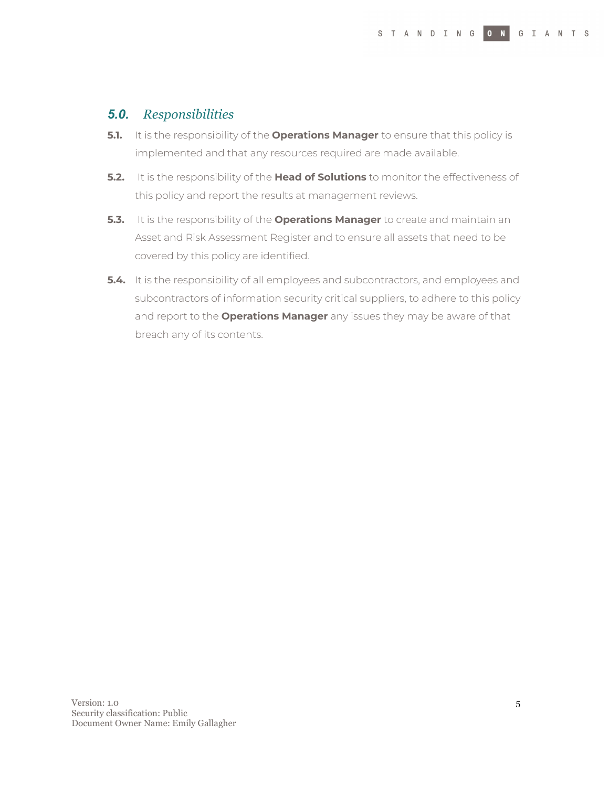## <span id="page-4-0"></span>*5.0. Responsibilities*

- **5.1.** It is the responsibility of the **Operations Manager** to ensure that this policy is implemented and that any resources required are made available.
- **5.2.** It is the responsibility of the **Head of Solutions** to monitor the effectiveness of this policy and report the results at management reviews.
- **5.3.** It is the responsibility of the **Operations Manager** to create and maintain an Asset and Risk Assessment Register and to ensure all assets that need to be covered by this policy are identified.
- **5.4.** It is the responsibility of all employees and subcontractors, and employees and subcontractors of information security critical suppliers, to adhere to this policy and report to the **Operations Manager** any issues they may be aware of that breach any of its contents.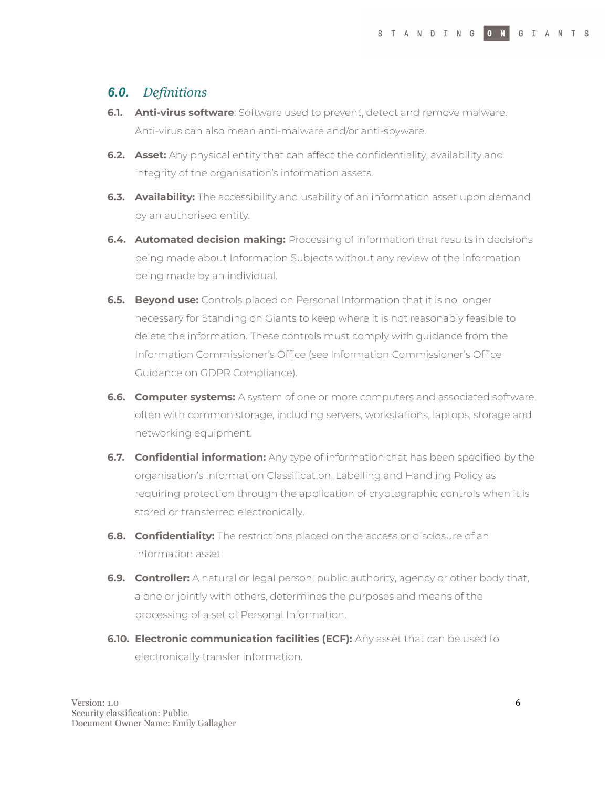## <span id="page-5-0"></span>*6.0. Definitions*

- **6.1. Anti-virus software**: Software used to prevent, detect and remove malware. Anti-virus can also mean anti-malware and/or anti-spyware.
- **6.2. Asset:** Any physical entity that can affect the confidentiality, availability and integrity of the organisation's information assets.
- **6.3. Availability:** The accessibility and usability of an information asset upon demand by an authorised entity.
- **6.4. Automated decision making:** Processing of information that results in decisions being made about Information Subjects without any review of the information being made by an individual.
- **6.5. Beyond use:** Controls placed on Personal Information that it is no longer necessary for Standing on Giants to keep where it is not reasonably feasible to delete the information. These controls must comply with guidance from the Information Commissioner's Office (see Information Commissioner's Office Guidance on GDPR Compliance).
- **6.6. Computer systems:** A system of one or more computers and associated software, often with common storage, including servers, workstations, laptops, storage and networking equipment.
- **6.7. Confidential information:** Any type of information that has been specified by the organisation's Information Classification, Labelling and Handling Policy as requiring protection through the application of cryptographic controls when it is stored or transferred electronically.
- **6.8. Confidentiality:** The restrictions placed on the access or disclosure of an information asset.
- **6.9. Controller:** A natural or legal person, public authority, agency or other body that, alone or jointly with others, determines the purposes and means of the processing of a set of Personal Information.
- **6.10. Electronic communication facilities (ECF):** Any asset that can be used to electronically transfer information.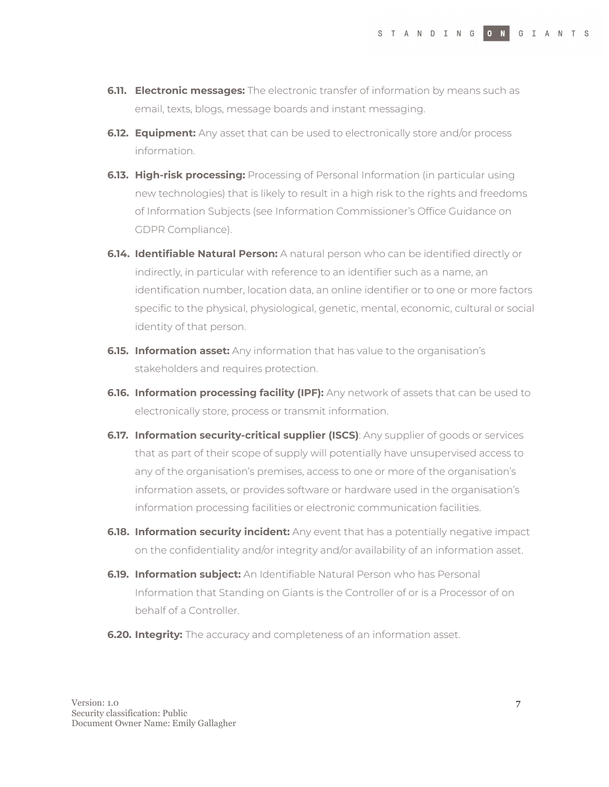- **6.11. Electronic messages:** The electronic transfer of information by means such as email, texts, blogs, message boards and instant messaging.
- **6.12. Equipment:** Any asset that can be used to electronically store and/or process information.
- **6.13. High-risk processing:** Processing of Personal Information (in particular using new technologies) that is likely to result in a high risk to the rights and freedoms of Information Subjects (see Information Commissioner's Office Guidance on GDPR Compliance).
- **6.14. Identifiable Natural Person:** A natural person who can be identified directly or indirectly, in particular with reference to an identifier such as a name, an identification number, location data, an online identifier or to one or more factors specific to the physical, physiological, genetic, mental, economic, cultural or social identity of that person.
- **6.15. Information asset:** Any information that has value to the organisation's stakeholders and requires protection.
- **6.16. Information processing facility (IPF):** Any network of assets that can be used to electronically store, process or transmit information.
- **6.17. Information security-critical supplier (ISCS)**: Any supplier of goods or services that as part of their scope of supply will potentially have unsupervised access to any of the organisation's premises, access to one or more of the organisation's information assets, or provides software or hardware used in the organisation's information processing facilities or electronic communication facilities.
- **6.18. Information security incident:** Any event that has a potentially negative impact on the confidentiality and/or integrity and/or availability of an information asset.
- **6.19. Information subject:** An Identifiable Natural Person who has Personal Information that Standing on Giants is the Controller of or is a Processor of on behalf of a Controller.
- **6.20. Integrity:** The accuracy and completeness of an information asset.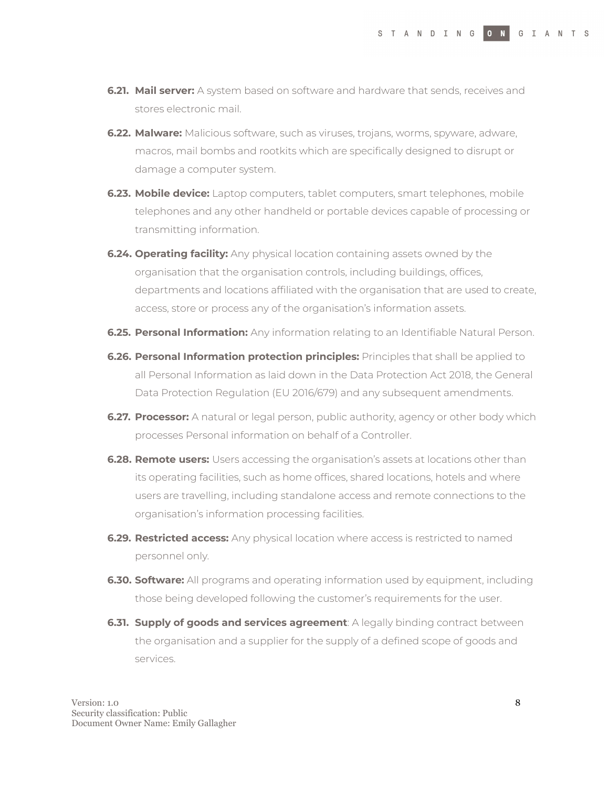- **6.21. Mail server:** A system based on software and hardware that sends, receives and stores electronic mail.
- **6.22. Malware:** Malicious software, such as viruses, trojans, worms, spyware, adware, macros, mail bombs and rootkits which are specifically designed to disrupt or damage a computer system.
- **6.23. Mobile device:** Laptop computers, tablet computers, smart telephones, mobile telephones and any other handheld or portable devices capable of processing or transmitting information.
- **6.24. Operating facility:** Any physical location containing assets owned by the organisation that the organisation controls, including buildings, offices, departments and locations affiliated with the organisation that are used to create, access, store or process any of the organisation's information assets.
- **6.25. Personal Information:** Any information relating to an Identifiable Natural Person.
- **6.26. Personal Information protection principles:** Principles that shall be applied to all Personal Information as laid down in the Data Protection Act 2018, the General Data Protection Regulation (EU 2016/679) and any subsequent amendments.
- **6.27. Processor:** A natural or legal person, public authority, agency or other body which processes Personal information on behalf of a Controller.
- **6.28. Remote users:** Users accessing the organisation's assets at locations other than its operating facilities, such as home offices, shared locations, hotels and where users are travelling, including standalone access and remote connections to the organisation's information processing facilities.
- **6.29. Restricted access:** Any physical location where access is restricted to named personnel only.
- **6.30. Software:** All programs and operating information used by equipment, including those being developed following the customer's requirements for the user.
- **6.31. Supply of goods and services agreement**: A legally binding contract between the organisation and a supplier for the supply of a defined scope of goods and services.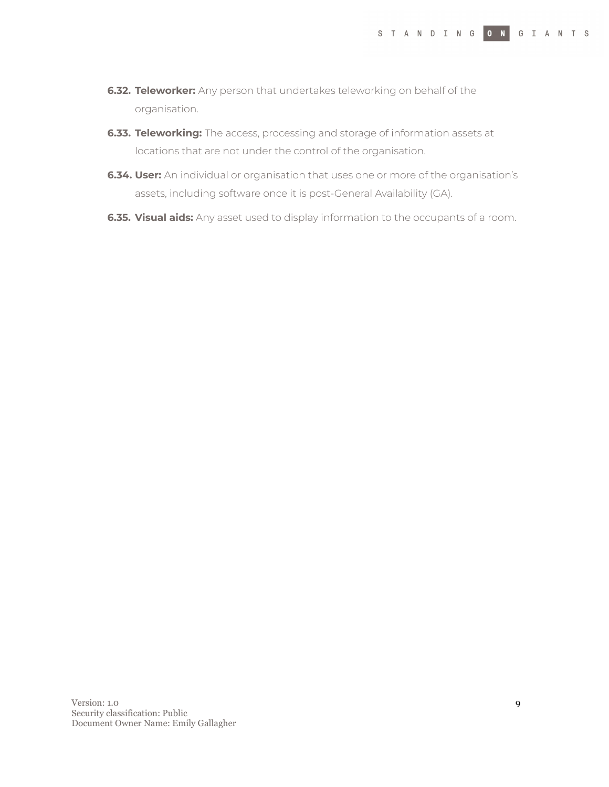- **6.32. Teleworker:** Any person that undertakes teleworking on behalf of the organisation.
- **6.33. Teleworking:** The access, processing and storage of information assets at locations that are not under the control of the organisation.
- **6.34. User:** An individual or organisation that uses one or more of the organisation's assets, including software once it is post-General Availability (GA).
- **6.35. Visual aids:** Any asset used to display information to the occupants of a room.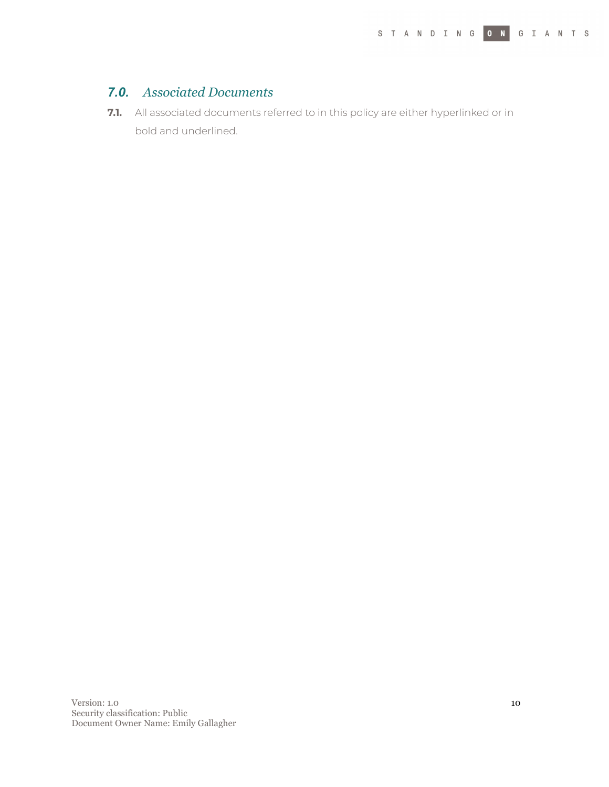## <span id="page-9-0"></span>*7.0. Associated Documents*

**7.1.** All associated documents referred to in this policy are either hyperlinked or in bold and underlined.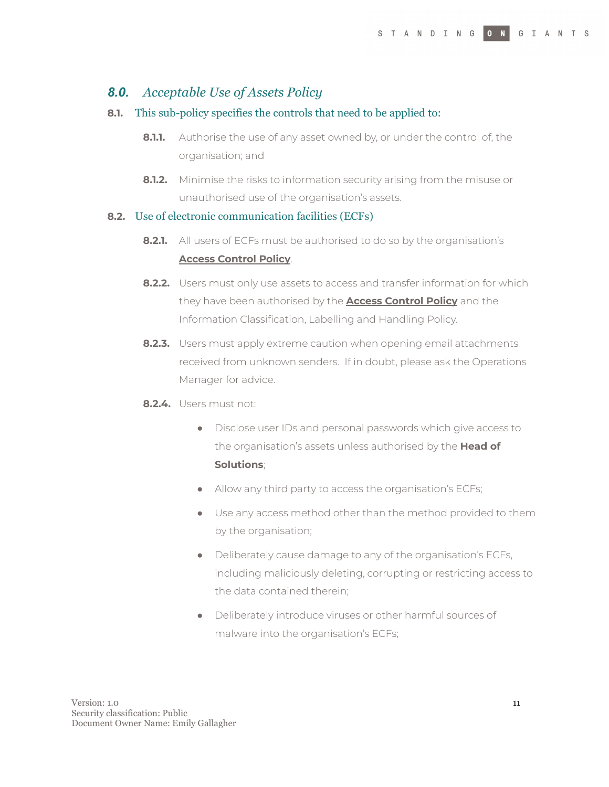## <span id="page-10-0"></span>*8.0. Acceptable Use of Assets Policy*

#### **8.1.** This sub-policy specifies the controls that need to be applied to:

- **8.1.1.** Authorise the use of any asset owned by, or under the control of, the organisation; and
- **8.1.2.** Minimise the risks to information security arising from the misuse or unauthorised use of the organisation's assets.

#### **8.2.** Use of electronic communication facilities (ECFs)

- **8.2.1.** All users of ECFs must be authorised to do so by the organisation's **Access Control Policy**.
- **8.2.2.** Users must only use assets to access and transfer information for which they have been authorised by the **Access Control Policy** and the Information Classification, Labelling and Handling Policy.
- **8.2.3.** Users must apply extreme caution when opening email attachments received from unknown senders. If in doubt, please ask the Operations Manager for advice.
- **8.2.4.** Users must not:
	- Disclose user IDs and personal passwords which give access to the organisation's assets unless authorised by the **Head of Solutions**;
	- Allow any third party to access the organisation's ECFs;
	- Use any access method other than the method provided to them by the organisation;
	- Deliberately cause damage to any of the organisation's ECFs, including maliciously deleting, corrupting or restricting access to the data contained therein;
	- Deliberately introduce viruses or other harmful sources of malware into the organisation's ECFs;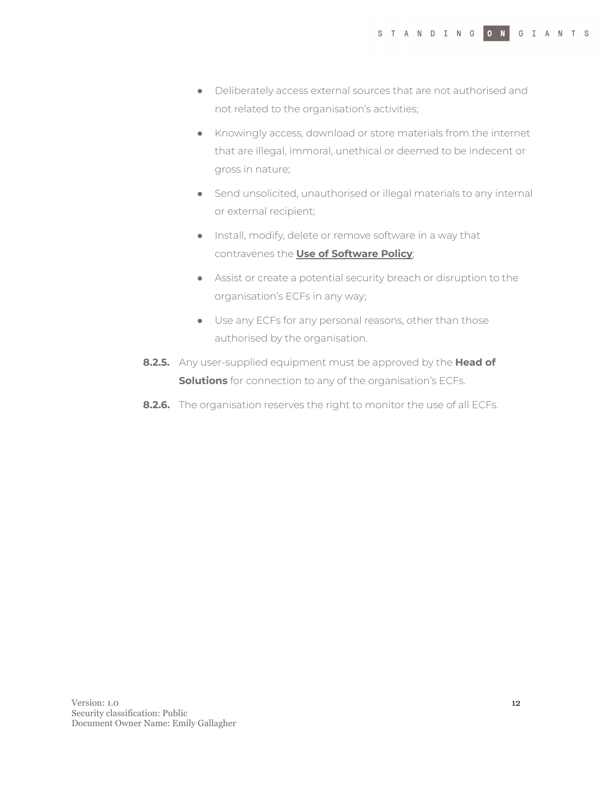- Deliberately access external sources that are not authorised and not related to the organisation's activities;
- Knowingly access, download or store materials from the internet that are illegal, immoral, unethical or deemed to be indecent or gross in nature;
- Send unsolicited, unauthorised or illegal materials to any internal or external recipient;
- Install, modify, delete or remove software in a way that contravenes the **Use of Software Policy**;
- Assist or create a potential security breach or disruption to the organisation's ECFs in any way;
- Use any ECFs for any personal reasons, other than those authorised by the organisation.
- **8.2.5.** Any user-supplied equipment must be approved by the **Head of Solutions** for connection to any of the organisation's ECFs.
- **8.2.6.** The organisation reserves the right to monitor the use of all ECFs.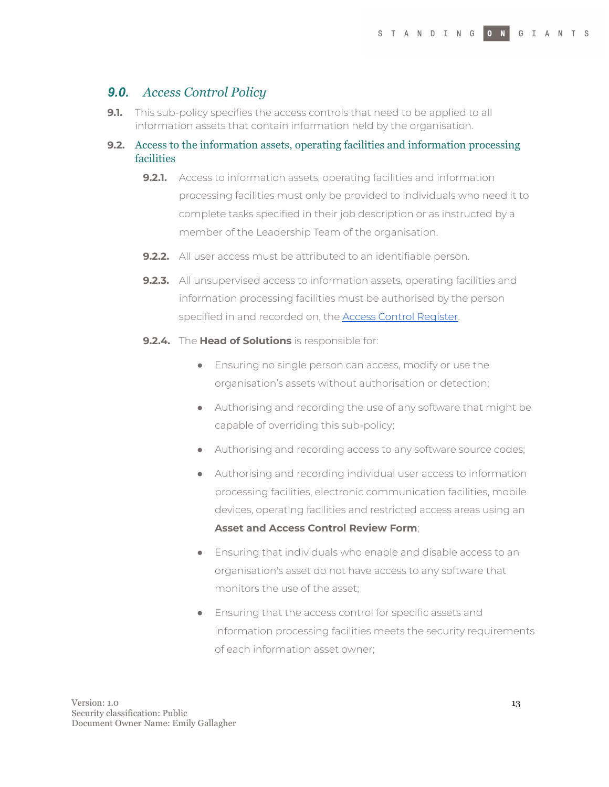## <span id="page-12-0"></span>*9.0. Access Control Policy*

**9.1.** This sub-policy specifies the access controls that need to be applied to all information assets that contain information held by the organisation.

#### **9.2.** Access to the information assets, operating facilities and information processing facilities

- **9.2.1.** Access to information assets, operating facilities and information processing facilities must only be provided to individuals who need it to complete tasks specified in their job description or as instructed by a member of the Leadership Team of the organisation.
- **9.2.2.** All user access must be attributed to an identifiable person.
- **9.2.3.** All unsupervised access to information assets, operating facilities and information processing facilities must be authorised by the person specified in and recorded on, the **Access Control Register**.
- **9.2.4.** The **Head of Solutions** is responsible for:
	- Ensuring no single person can access, modify or use the organisation's assets without authorisation or detection;
	- Authorising and recording the use of any software that might be capable of overriding this sub-policy;
	- Authorising and recording access to any software source codes;
	- Authorising and recording individual user access to information processing facilities, electronic communication facilities, mobile devices, operating facilities and restricted access areas using an **Asset and Access Control Review Form**;
	- Ensuring that individuals who enable and disable access to an organisation's asset do not have access to any software that monitors the use of the asset;
	- Ensuring that the access control for specific assets and information processing facilities meets the security requirements of each information asset owner;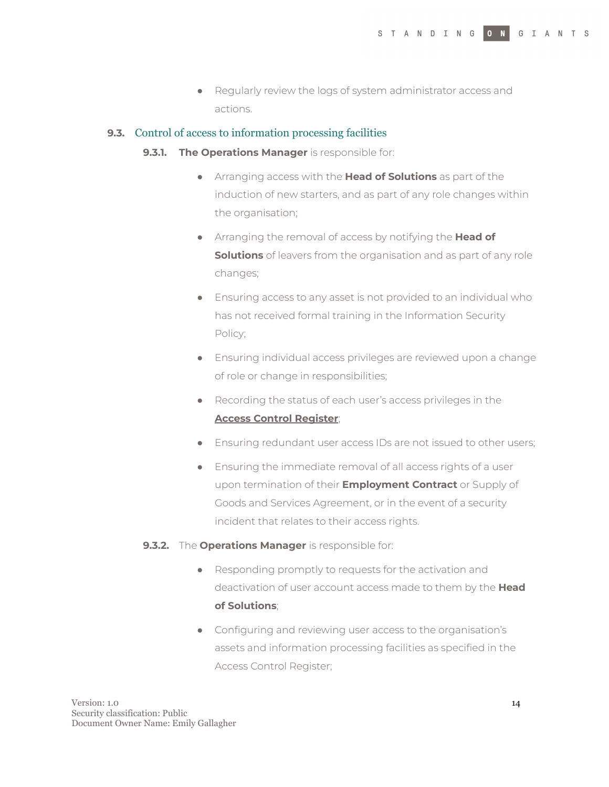● Regularly review the logs of system administrator access and actions.

#### **9.3.** Control of access to information processing facilities

- **9.3.1. The Operations Manager** is responsible for:
	- Arranging access with the **Head of Solutions** as part of the induction of new starters, and as part of any role changes within the organisation;
	- Arranging the removal of access by notifying the **Head of Solutions** of leavers from the organisation and as part of any role changes;
	- Ensuring access to any asset is not provided to an individual who has not received formal training in the Information Security Policy;
	- Ensuring individual access privileges are reviewed upon a change of role or change in responsibilities;
	- Recording the status of each user's access privileges in the **Access Control Register**;
	- Ensuring redundant user access IDs are not issued to other users;
	- Ensuring the immediate removal of all access rights of a user upon termination of their **Employment Contract** or Supply of Goods and Services Agreement, or in the event of a security incident that relates to their access rights.

#### **9.3.2.** The **Operations Manager** is responsible for:

- Responding promptly to requests for the activation and deactivation of user account access made to them by the **Head of Solutions**;
- Configuring and reviewing user access to the organisation's assets and information processing facilities as specified in the Access Control Register;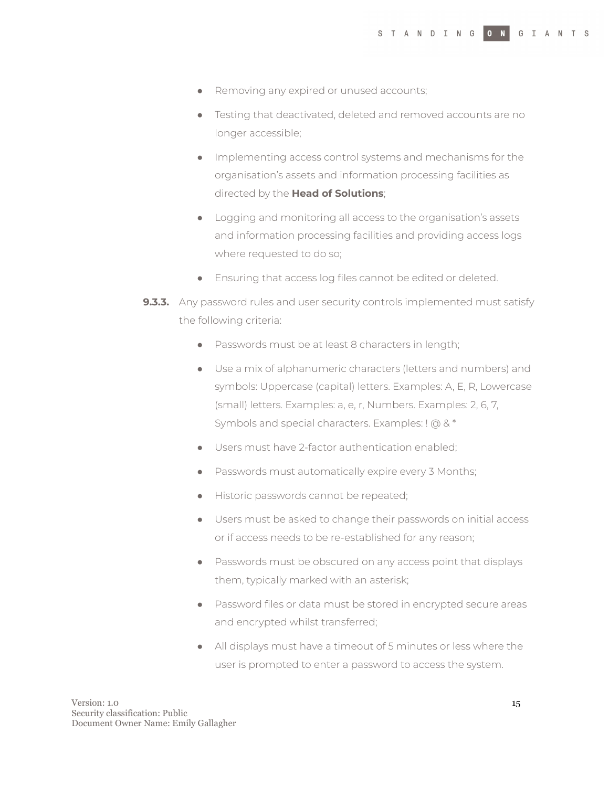- Removing any expired or unused accounts;
- Testing that deactivated, deleted and removed accounts are no longer accessible;
- Implementing access control systems and mechanisms for the organisation's assets and information processing facilities as directed by the **Head of Solutions**;
- Logging and monitoring all access to the organisation's assets and information processing facilities and providing access logs where requested to do so;
- Ensuring that access log files cannot be edited or deleted.
- **9.3.3.** Any password rules and user security controls implemented must satisfy the following criteria:
	- Passwords must be at least 8 characters in length;
	- Use a mix of alphanumeric characters (letters and numbers) and symbols: Uppercase (capital) letters. Examples: A, E, R, Lowercase (small) letters. Examples: a, e, r, Numbers. Examples: 2, 6, 7, Symbols and special characters. Examples: ! @ & \*
	- Users must have 2-factor authentication enabled;
	- Passwords must automatically expire every 3 Months;
	- Historic passwords cannot be repeated;
	- Users must be asked to change their passwords on initial access or if access needs to be re-established for any reason;
	- Passwords must be obscured on any access point that displays them, typically marked with an asterisk;
	- Password files or data must be stored in encrypted secure areas and encrypted whilst transferred;
	- All displays must have a timeout of 5 minutes or less where the user is prompted to enter a password to access the system.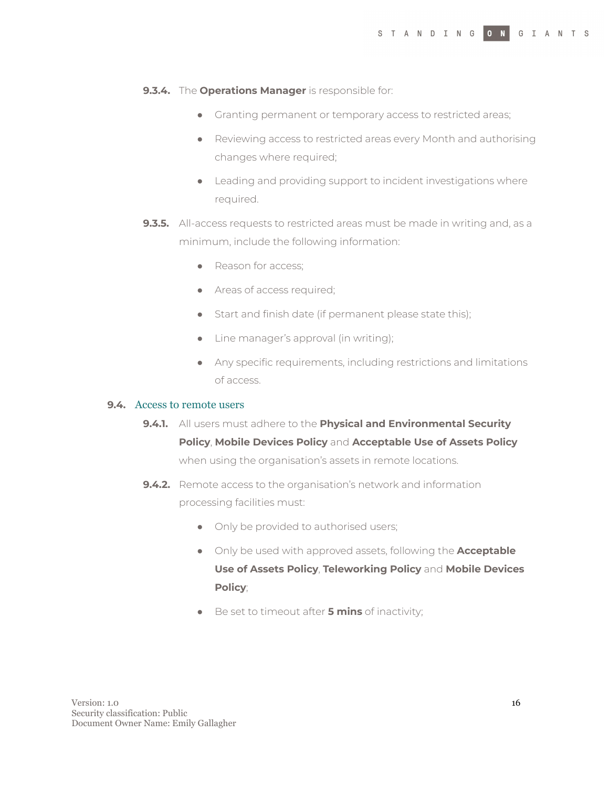#### **9.3.4.** The **Operations Manager** is responsible for:

- Granting permanent or temporary access to restricted areas;
- Reviewing access to restricted areas every Month and authorising changes where required;
- Leading and providing support to incident investigations where required.
- **9.3.5.** All-access requests to restricted areas must be made in writing and, as a minimum, include the following information:
	- Reason for access:
	- Areas of access required;
	- Start and finish date (if permanent please state this);
	- Line manager's approval (in writing);
	- Any specific requirements, including restrictions and limitations of access.

#### **9.4.** Access to remote users

- **9.4.1.** All users must adhere to the **Physical and Environmental Security Policy**, **Mobile Devices Policy** and **Acceptable Use of Assets Policy** when using the organisation's assets in remote locations.
- **9.4.2.** Remote access to the organisation's network and information processing facilities must:
	- Only be provided to authorised users;
	- Only be used with approved assets, following the **Acceptable Use of Assets Policy**, **Teleworking Policy** and **Mobile Devices Policy**;
	- Be set to timeout after **5 mins** of inactivity;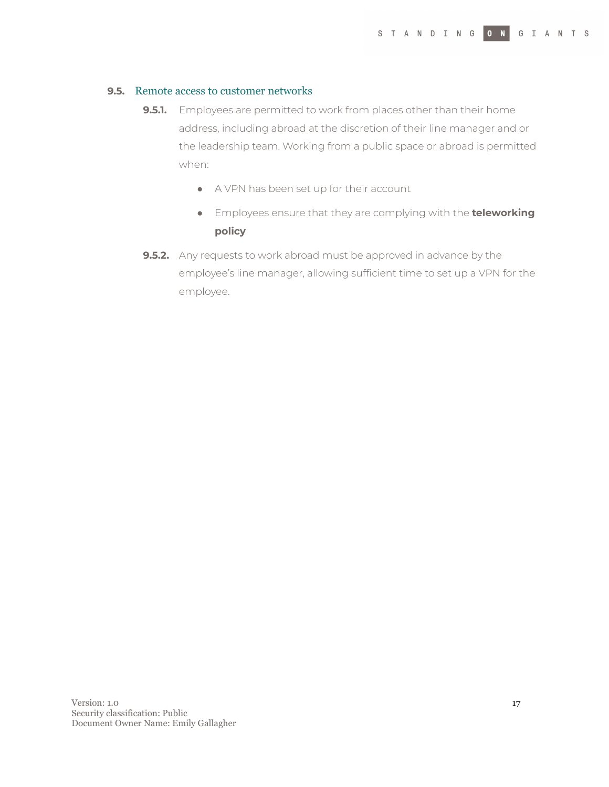#### **9.5.** Remote access to customer networks

- **9.5.1.** Employees are permitted to work from places other than their home address, including abroad at the discretion of their line manager and or the leadership team. Working from a public space or abroad is permitted when:
	- A VPN has been set up for their account
	- Employees ensure that they are complying with the **teleworking policy**
- **9.5.2.** Any requests to work abroad must be approved in advance by the employee's line manager, allowing sufficient time to set up a VPN for the employee.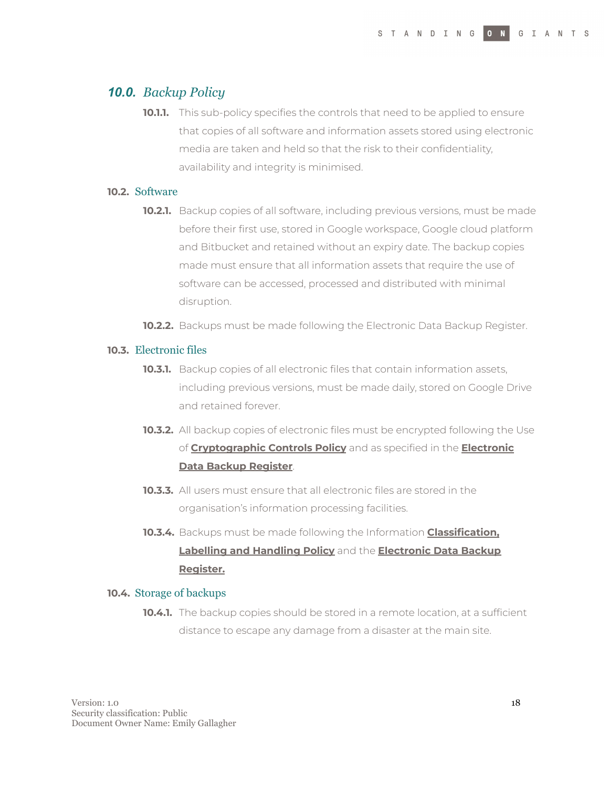## <span id="page-17-0"></span>*10.0. Backup Policy*

**10.1.1.** This sub-policy specifies the controls that need to be applied to ensure that copies of all software and information assets stored using electronic media are taken and held so that the risk to their confidentiality, availability and integrity is minimised.

## **10.2.** Software

- **10.2.1.** Backup copies of all software, including previous versions, must be made before their first use, stored in Google workspace, Google cloud platform and Bitbucket and retained without an expiry date. The backup copies made must ensure that all information assets that require the use of software can be accessed, processed and distributed with minimal disruption.
- **10.2.2.** Backups must be made following the Electronic Data Backup Register.

#### **10.3.** Electronic files

- **10.3.1.** Backup copies of all electronic files that contain information assets, including previous versions, must be made daily, stored on Google Drive and retained forever.
- **10.3.2.** All backup copies of electronic files must be encrypted following the Use of **Cryptographic Controls Policy** and as specified in the **Electronic Data Backup Register**.
- **10.3.3.** All users must ensure that all electronic files are stored in the organisation's information processing facilities.
- **10.3.4.** Backups must be made following the Information **Classification, Labelling and Handling Policy** and the **Electronic Data Backup Register.**

#### **10.4.** Storage of backups

**10.4.1.** The backup copies should be stored in a remote location, at a sufficient distance to escape any damage from a disaster at the main site.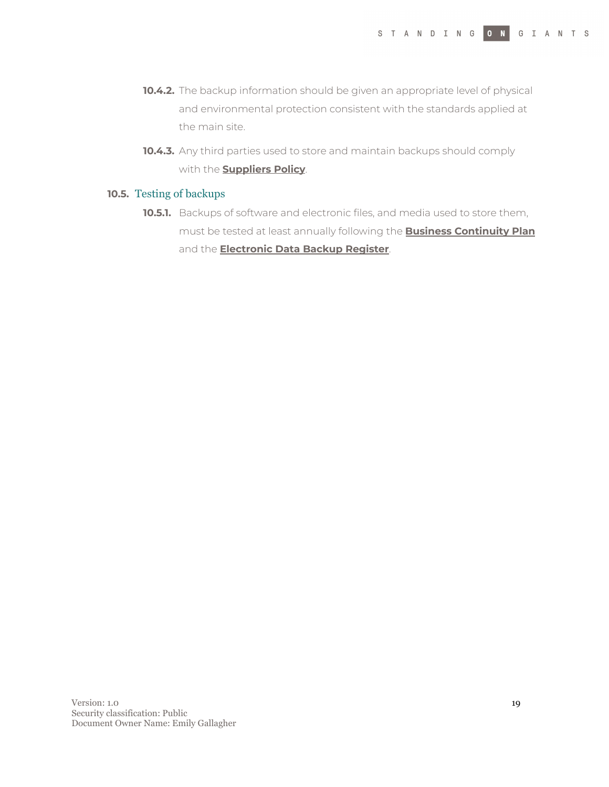- **10.4.2.** The backup information should be given an appropriate level of physical and environmental protection consistent with the standards applied at the main site.
- **10.4.3.** Any third parties used to store and maintain backups should comply with the **Suppliers Policy**.

#### **10.5.** Testing of backups

**10.5.1.** Backups of software and electronic files, and media used to store them, must be tested at least annually following the **Business Continuity Plan** and the **Electronic Data Backup Register**.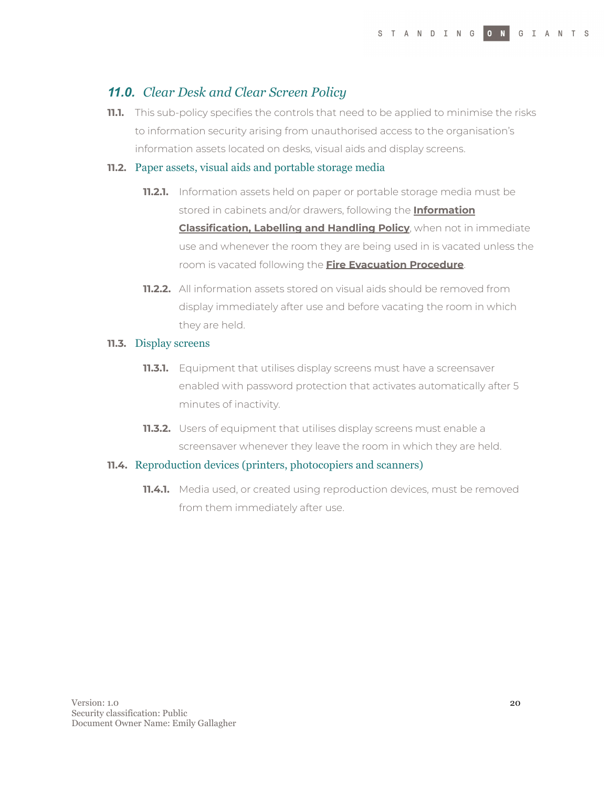## <span id="page-19-0"></span>*11.0. Clear Desk and Clear Screen Policy*

**11.1.** This sub-policy specifies the controls that need to be applied to minimise the risks to information security arising from unauthorised access to the organisation's information assets located on desks, visual aids and display screens.

#### **11.2.** Paper assets, visual aids and portable storage media

- **11.2.1.** Information assets held on paper or portable storage media must be stored in cabinets and/or drawers, following the **Information Classification, Labelling and Handling Policy**, when not in immediate use and whenever the room they are being used in is vacated unless the room is vacated following the **Fire Evacuation Procedure**.
- **11.2.2.** All information assets stored on visual aids should be removed from display immediately after use and before vacating the room in which they are held.

#### **11.3.** Display screens

- **11.3.1.** Equipment that utilises display screens must have a screensaver enabled with password protection that activates automatically after 5 minutes of inactivity.
- **11.3.2.** Users of equipment that utilises display screens must enable a screensaver whenever they leave the room in which they are held.

#### **11.4.** Reproduction devices (printers, photocopiers and scanners)

**11.4.1.** Media used, or created using reproduction devices, must be removed from them immediately after use.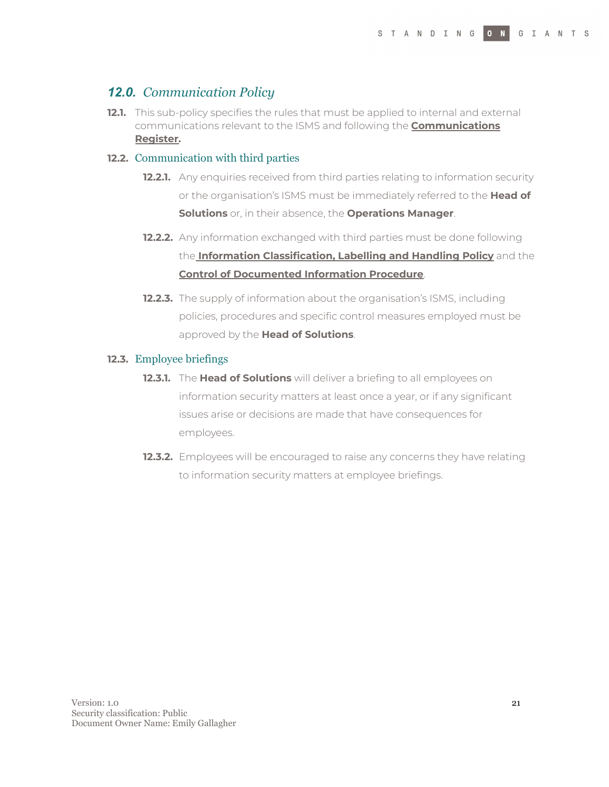## <span id="page-20-0"></span>*12.0. Communication Policy*

**12.1.** This sub-policy specifies the rules that must be applied to internal and external communications relevant to the ISMS and following the **Communications Register.**

#### **12.2.** Communication with third parties

- **12.2.1.** Any enquiries received from third parties relating to information security or the organisation's ISMS must be immediately referred to the **Head of Solutions** or, in their absence, the **Operations Manager**.
- **12.2.2.** Any information exchanged with third parties must be done following the **Information Classification, Labelling and Handling Policy** and the **Control of Documented Information Procedure**.
- **12.2.3.** The supply of information about the organisation's ISMS, including policies, procedures and specific control measures employed must be approved by the **Head of Solutions**.

#### **12.3.** Employee briefings

- **12.3.1.** The **Head of Solutions** will deliver a briefing to all employees on information security matters at least once a year, or if any significant issues arise or decisions are made that have consequences for employees.
- **12.3.2.** Employees will be encouraged to raise any concerns they have relating to information security matters at employee briefings.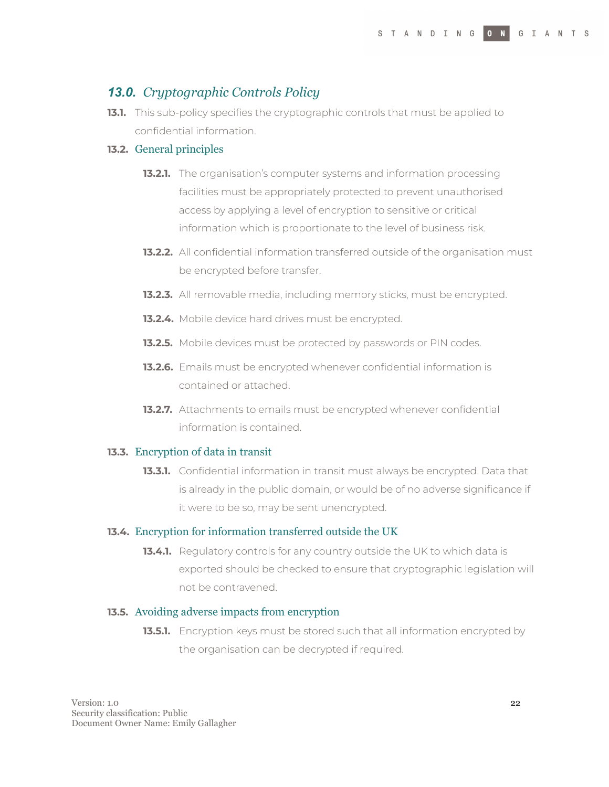## <span id="page-21-0"></span>*13.0. Cryptographic Controls Policy*

**13.1.** This sub-policy specifies the cryptographic controls that must be applied to confidential information.

#### **13.2.** General principles

- **13.2.1.** The organisation's computer systems and information processing facilities must be appropriately protected to prevent unauthorised access by applying a level of encryption to sensitive or critical information which is proportionate to the level of business risk.
- **13.2.2.** All confidential information transferred outside of the organisation must be encrypted before transfer.
- **13.2.3.** All removable media, including memory sticks, must be encrypted.
- **13.2.4.** Mobile device hard drives must be encrypted.
- **13.2.5.** Mobile devices must be protected by passwords or PIN codes.
- **13.2.6.** Emails must be encrypted whenever confidential information is contained or attached.
- **13.2.7.** Attachments to emails must be encrypted whenever confidential information is contained.

#### **13.3.** Encryption of data in transit

**13.3.1.** Confidential information in transit must always be encrypted. Data that is already in the public domain, or would be of no adverse significance if it were to be so, may be sent unencrypted.

#### **13.4.** Encryption for information transferred outside the UK

**13.4.1.** Regulatory controls for any country outside the UK to which data is exported should be checked to ensure that cryptographic legislation will not be contravened.

#### **13.5.** Avoiding adverse impacts from encryption

**13.5.1.** Encryption keys must be stored such that all information encrypted by the organisation can be decrypted if required.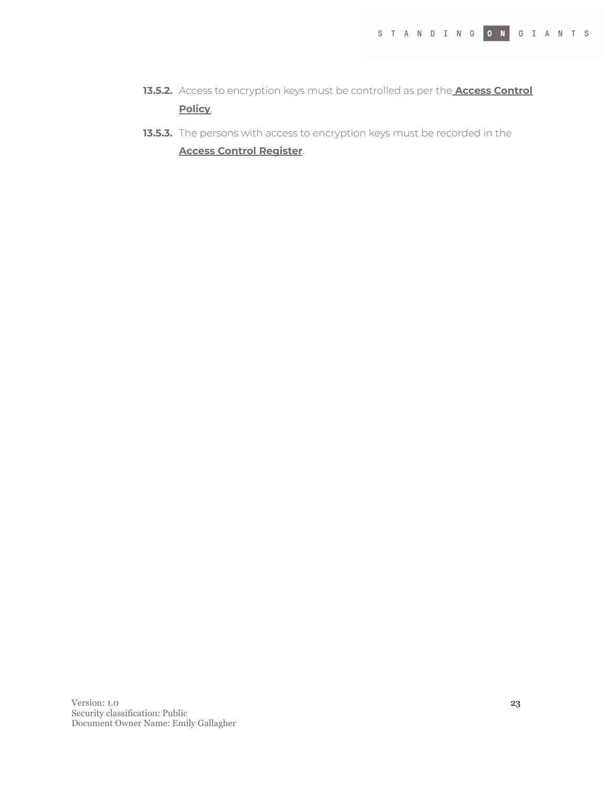- **13.5.2.** Access to encryption keys must be controlled as per the **Access Control Policy**.
- **13.5.3.** The persons with access to encryption keys must be recorded in the **Access Control Register**.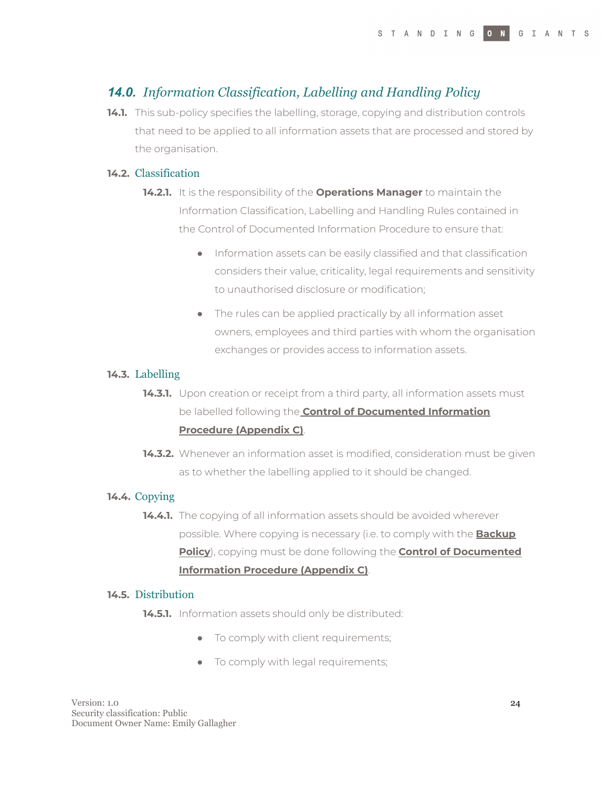## <span id="page-23-0"></span>*14.0. Information Classification, Labelling and Handling Policy*

**14.1.** This sub-policy specifies the labelling, storage, copying and distribution controls that need to be applied to all information assets that are processed and stored by the organisation.

#### **14.2.** Classification

- **14.2.1.** It is the responsibility of the **Operations Manager** to maintain the Information Classification, Labelling and Handling Rules contained in the Control of Documented Information Procedure to ensure that:
	- Information assets can be easily classified and that classification considers their value, criticality, legal requirements and sensitivity to unauthorised disclosure or modification;
	- The rules can be applied practically by all information asset owners, employees and third parties with whom the organisation exchanges or provides access to information assets.

#### **14.3.** Labelling

- **14.3.1.** Upon creation or receipt from a third party, all information assets must be labelled following the **Control of Documented Information Procedure (Appendix C)**.
- **14.3.2.** Whenever an information asset is modified, consideration must be given as to whether the labelling applied to it should be changed.

#### **14.4.** Copying

**14.4.1.** The copying of all information assets should be avoided wherever possible. Where copying is necessary (i.e. to comply with the **Backup Policy**), copying must be done following the **Control of Documented Information Procedure (Appendix C)**.

#### **14.5.** Distribution

**14.5.1.** Information assets should only be distributed:

- To comply with client requirements;
- To comply with legal requirements;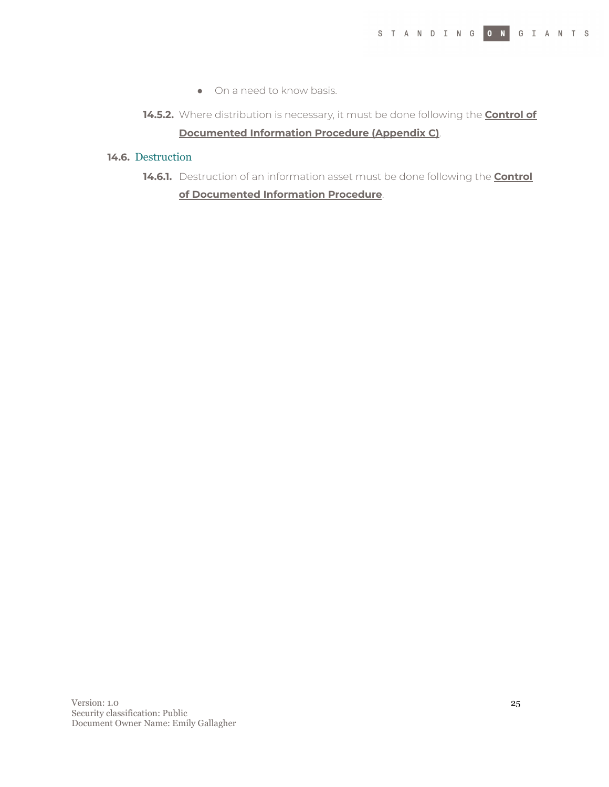- On a need to know basis.
- **14.5.2.** Where distribution is necessary, it must be done following the **Control of Documented Information Procedure (Appendix C)**.

#### **14.6.** Destruction

**14.6.1.** Destruction of an information asset must be done following the **Control of Documented Information Procedure**.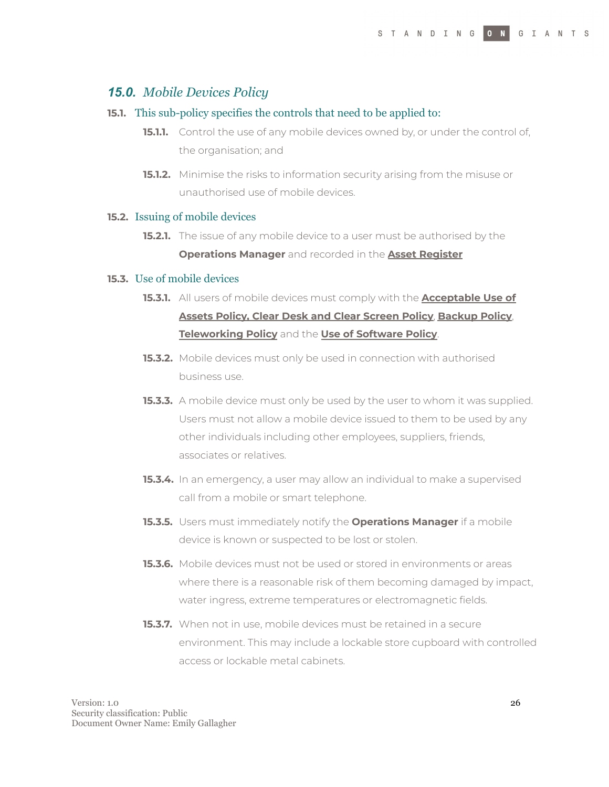### <span id="page-25-0"></span>*15.0. Mobile Devices Policy*

#### **15.1.** This sub-policy specifies the controls that need to be applied to:

- **15.1.1.** Control the use of any mobile devices owned by, or under the control of, the organisation; and
- **15.1.2.** Minimise the risks to information security arising from the misuse or unauthorised use of mobile devices.

#### **15.2.** Issuing of mobile devices

**15.2.1.** The issue of any mobile device to a user must be authorised by the **Operations Manager** and recorded in the **Asset Register**

#### **15.3.** Use of mobile devices

- **15.3.1.** All users of mobile devices must comply with the **Acceptable Use of Assets Policy, Clear Desk and Clear Screen Policy**, **Backup Policy**, **Teleworking Policy** and the **Use of Software Policy**.
- **15.3.2.** Mobile devices must only be used in connection with authorised business use.
- **15.3.3.** A mobile device must only be used by the user to whom it was supplied. Users must not allow a mobile device issued to them to be used by any other individuals including other employees, suppliers, friends, associates or relatives.
- **15.3.4.** In an emergency, a user may allow an individual to make a supervised call from a mobile or smart telephone.
- **15.3.5.** Users must immediately notify the **Operations Manager** if a mobile device is known or suspected to be lost or stolen.
- **15.3.6.** Mobile devices must not be used or stored in environments or areas where there is a reasonable risk of them becoming damaged by impact, water ingress, extreme temperatures or electromagnetic fields.
- **15.3.7.** When not in use, mobile devices must be retained in a secure environment. This may include a lockable store cupboard with controlled access or lockable metal cabinets.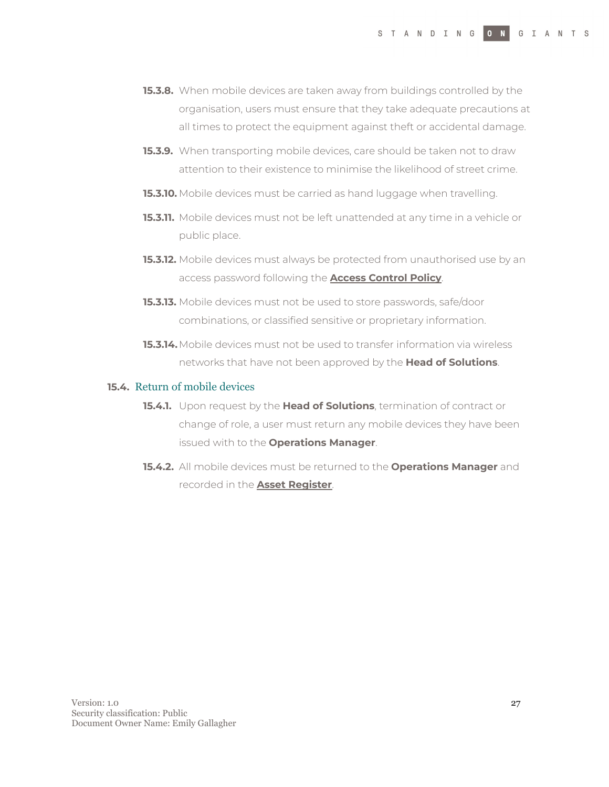- **15.3.8.** When mobile devices are taken away from buildings controlled by the organisation, users must ensure that they take adequate precautions at all times to protect the equipment against theft or accidental damage.
- **15.3.9.** When transporting mobile devices, care should be taken not to draw attention to their existence to minimise the likelihood of street crime.
- **15.3.10.** Mobile devices must be carried as hand luggage when travelling.
- **15.3.11.** Mobile devices must not be left unattended at any time in a vehicle or public place.
- **15.3.12.** Mobile devices must always be protected from unauthorised use by an access password following the **Access Control Policy**.
- **15.3.13.** Mobile devices must not be used to store passwords, safe/door combinations, or classified sensitive or proprietary information.
- **15.3.14.**Mobile devices must not be used to transfer information via wireless networks that have not been approved by the **Head of Solutions**.

#### **15.4.** Return of mobile devices

- **15.4.1.** Upon request by the **Head of Solutions**, termination of contract or change of role, a user must return any mobile devices they have been issued with to the **Operations Manager**.
- **15.4.2.** All mobile devices must be returned to the **Operations Manager** and recorded in the **Asset Register**.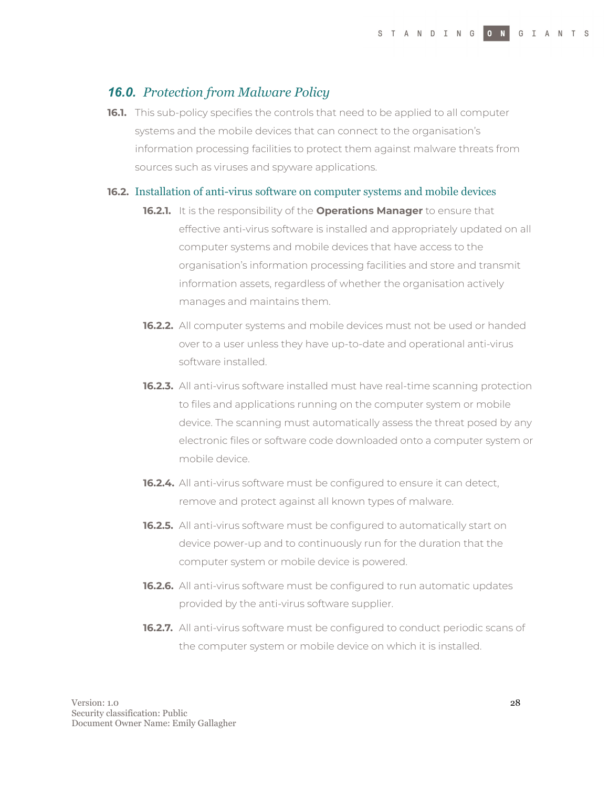## <span id="page-27-0"></span>*16.0. Protection from Malware Policy*

**16.1.** This sub-policy specifies the controls that need to be applied to all computer systems and the mobile devices that can connect to the organisation's information processing facilities to protect them against malware threats from sources such as viruses and spyware applications.

#### **16.2.** Installation of anti-virus software on computer systems and mobile devices

- **16.2.1.** It is the responsibility of the **Operations Manager** to ensure that effective anti-virus software is installed and appropriately updated on all computer systems and mobile devices that have access to the organisation's information processing facilities and store and transmit information assets, regardless of whether the organisation actively manages and maintains them.
- **16.2.2.** All computer systems and mobile devices must not be used or handed over to a user unless they have up-to-date and operational anti-virus software installed.
- **16.2.3.** All anti-virus software installed must have real-time scanning protection to files and applications running on the computer system or mobile device. The scanning must automatically assess the threat posed by any electronic files or software code downloaded onto a computer system or mobile device.
- **16.2.4.** All anti-virus software must be configured to ensure it can detect, remove and protect against all known types of malware.
- **16.2.5.** All anti-virus software must be configured to automatically start on device power-up and to continuously run for the duration that the computer system or mobile device is powered.
- **16.2.6.** All anti-virus software must be configured to run automatic updates provided by the anti-virus software supplier.
- **16.2.7.** All anti-virus software must be configured to conduct periodic scans of the computer system or mobile device on which it is installed.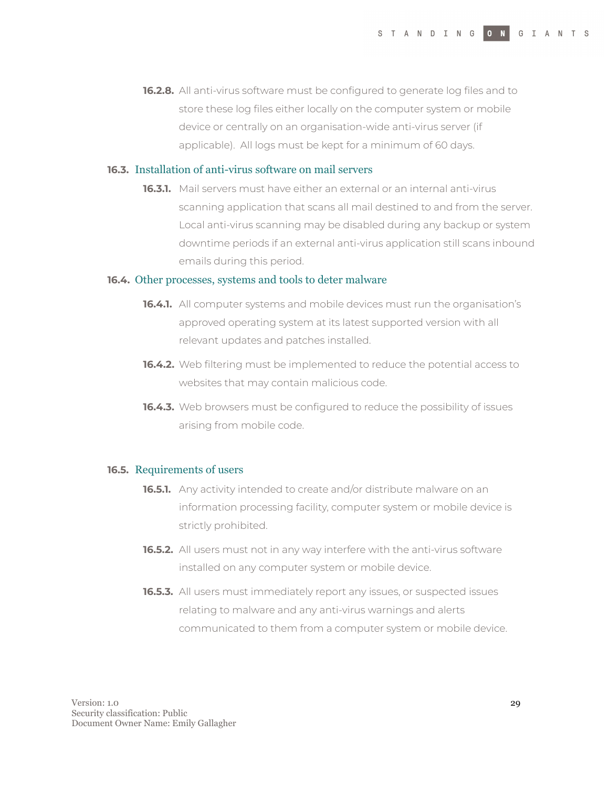**16.2.8.** All anti-virus software must be configured to generate log files and to store these log files either locally on the computer system or mobile device or centrally on an organisation-wide anti-virus server (if applicable). All logs must be kept for a minimum of 60 days.

#### **16.3.** Installation of anti-virus software on mail servers

**16.3.1.** Mail servers must have either an external or an internal anti-virus scanning application that scans all mail destined to and from the server. Local anti-virus scanning may be disabled during any backup or system downtime periods if an external anti-virus application still scans inbound emails during this period.

#### **16.4.** Other processes, systems and tools to deter malware

- **16.4.1.** All computer systems and mobile devices must run the organisation's approved operating system at its latest supported version with all relevant updates and patches installed.
- **16.4.2.** Web filtering must be implemented to reduce the potential access to websites that may contain malicious code.
- **16.4.3.** Web browsers must be configured to reduce the possibility of issues arising from mobile code.

#### **16.5.** Requirements of users

- **16.5.1.** Any activity intended to create and/or distribute malware on an information processing facility, computer system or mobile device is strictly prohibited.
- **16.5.2.** All users must not in any way interfere with the anti-virus software installed on any computer system or mobile device.
- **16.5.3.** All users must immediately report any issues, or suspected issues relating to malware and any anti-virus warnings and alerts communicated to them from a computer system or mobile device.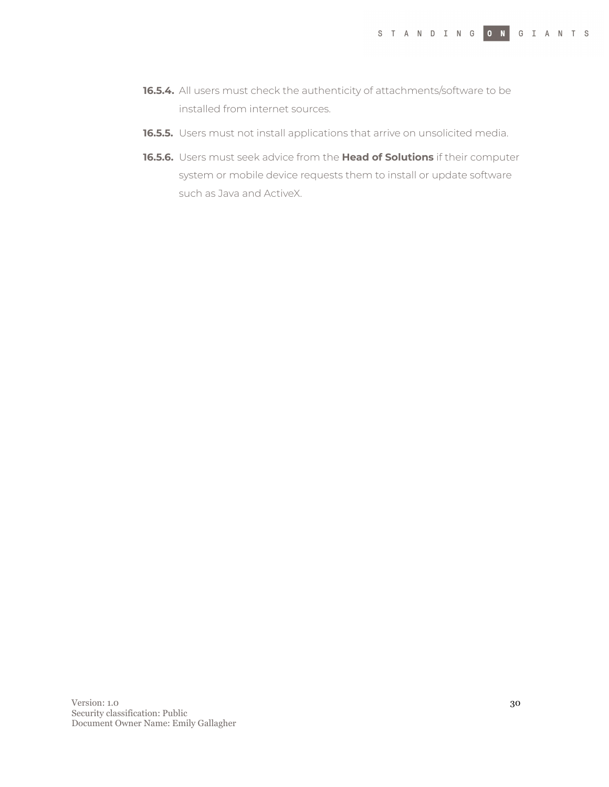- **16.5.4.** All users must check the authenticity of attachments/software to be installed from internet sources.
- **16.5.5.** Users must not install applications that arrive on unsolicited media.
- **16.5.6.** Users must seek advice from the **Head of Solutions** if their computer system or mobile device requests them to install or update software such as Java and ActiveX.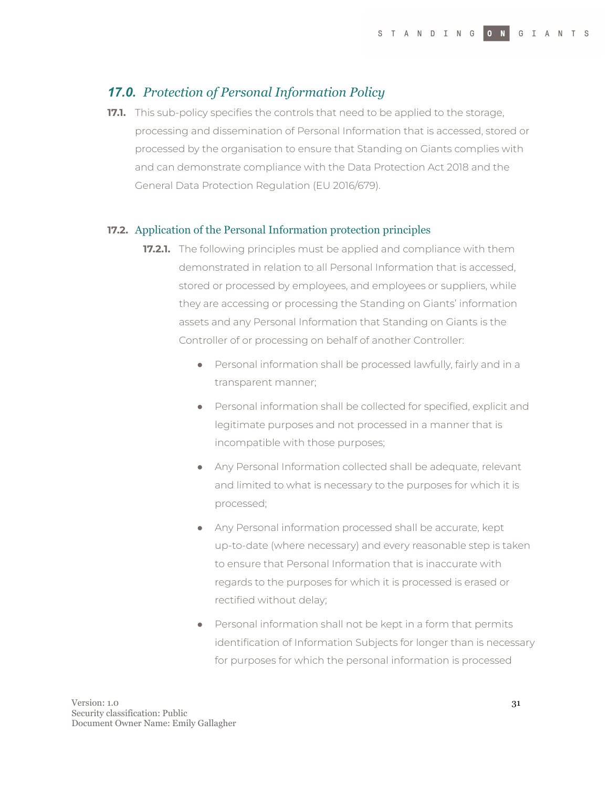## <span id="page-30-0"></span>*17.0. Protection of Personal Information Policy*

**17.1.** This sub-policy specifies the controls that need to be applied to the storage, processing and dissemination of Personal Information that is accessed, stored or processed by the organisation to ensure that Standing on Giants complies with and can demonstrate compliance with the Data Protection Act 2018 and the General Data Protection Regulation (EU 2016/679).

#### **17.2.** Application of the Personal Information protection principles

- **17.2.1.** The following principles must be applied and compliance with them demonstrated in relation to all Personal Information that is accessed, stored or processed by employees, and employees or suppliers, while they are accessing or processing the Standing on Giants' information assets and any Personal Information that Standing on Giants is the Controller of or processing on behalf of another Controller:
	- Personal information shall be processed lawfully, fairly and in a transparent manner;
	- Personal information shall be collected for specified, explicit and legitimate purposes and not processed in a manner that is incompatible with those purposes;
	- Any Personal Information collected shall be adequate, relevant and limited to what is necessary to the purposes for which it is processed;
	- Any Personal information processed shall be accurate, kept up-to-date (where necessary) and every reasonable step is taken to ensure that Personal Information that is inaccurate with regards to the purposes for which it is processed is erased or rectified without delay;
	- Personal information shall not be kept in a form that permits identification of Information Subjects for longer than is necessary for purposes for which the personal information is processed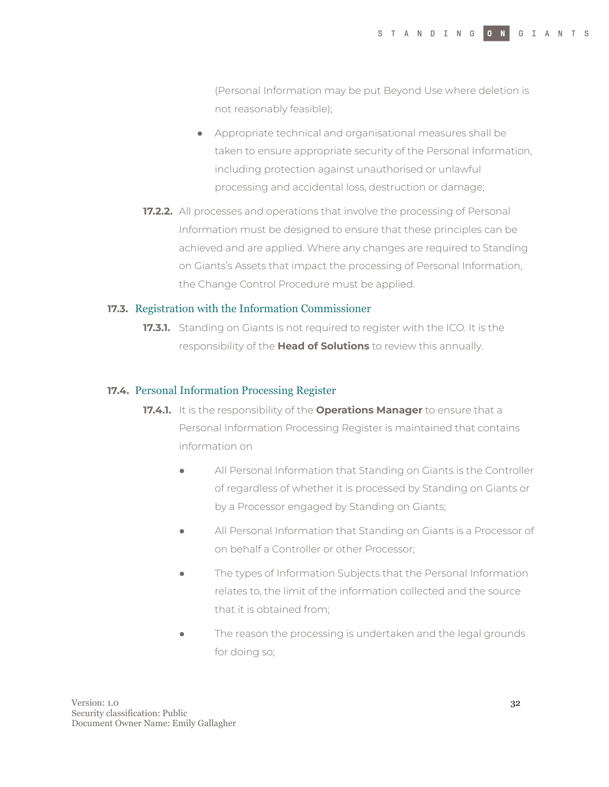(Personal Information may be put Beyond Use where deletion is not reasonably feasible);

- Appropriate technical and organisational measures shall be taken to ensure appropriate security of the Personal Information, including protection against unauthorised or unlawful processing and accidental loss, destruction or damage;
- **17.2.2.** All processes and operations that involve the processing of Personal Information must be designed to ensure that these principles can be achieved and are applied. Where any changes are required to Standing on Giants's Assets that impact the processing of Personal Information, the Change Control Procedure must be applied.

#### **17.3.** Registration with the Information Commissioner

**17.3.1.** Standing on Giants is not required to register with the ICO. It is the responsibility of the **Head of Solutions** to review this annually.

#### **17.4.** Personal Information Processing Register

- **17.4.1.** It is the responsibility of the **Operations Manager** to ensure that a Personal Information Processing Register is maintained that contains information on
	- All Personal Information that Standing on Giants is the Controller of regardless of whether it is processed by Standing on Giants or by a Processor engaged by Standing on Giants;
	- All Personal Information that Standing on Giants is a Processor of on behalf a Controller or other Processor;
	- The types of Information Subjects that the Personal Information relates to, the limit of the information collected and the source that it is obtained from;
	- The reason the processing is undertaken and the legal grounds for doing so;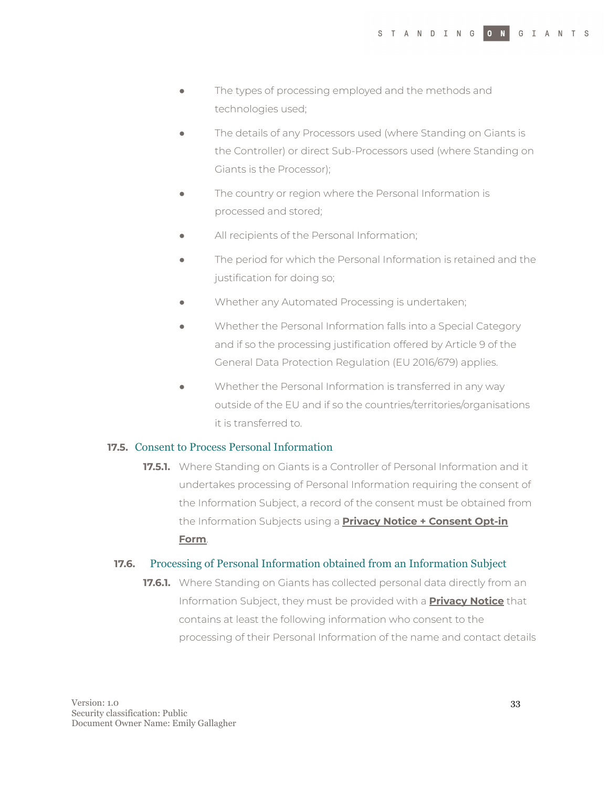- The types of processing employed and the methods and technologies used;
- The details of any Processors used (where Standing on Giants is the Controller) or direct Sub-Processors used (where Standing on Giants is the Processor);
- The country or region where the Personal Information is processed and stored;
- All recipients of the Personal Information;
- The period for which the Personal Information is retained and the justification for doing so;
- Whether any Automated Processing is undertaken;
- Whether the Personal Information falls into a Special Category and if so the processing justification offered by Article 9 of the General Data Protection Regulation (EU 2016/679) applies.
- Whether the Personal Information is transferred in any way outside of the EU and if so the countries/territories/organisations it is transferred to.

#### **17.5.** Consent to Process Personal Information

**17.5.1.** Where Standing on Giants is a Controller of Personal Information and it undertakes processing of Personal Information requiring the consent of the Information Subject, a record of the consent must be obtained from the Information Subjects using a **Privacy Notice + Consent Opt-in Form**.

#### **17.6.** Processing of Personal Information obtained from an Information Subject

**17.6.1.** Where Standing on Giants has collected personal data directly from an Information Subject, they must be provided with a **Privacy Notice** that contains at least the following information who consent to the processing of their Personal Information of the name and contact details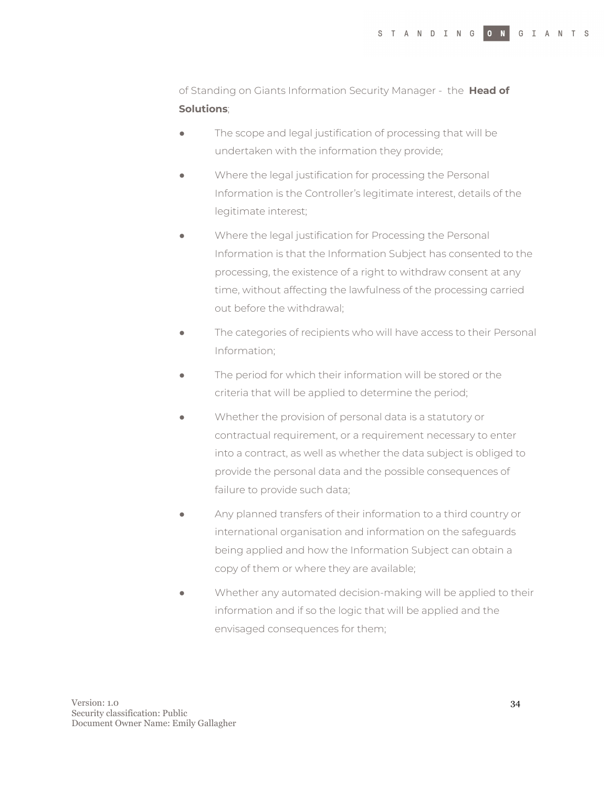of Standing on Giants Information Security Manager - the **Head of Solutions**;

- The scope and legal justification of processing that will be undertaken with the information they provide;
- Where the legal justification for processing the Personal Information is the Controller's legitimate interest, details of the legitimate interest;
- Where the legal justification for Processing the Personal Information is that the Information Subject has consented to the processing, the existence of a right to withdraw consent at any time, without affecting the lawfulness of the processing carried out before the withdrawal;
- The categories of recipients who will have access to their Personal Information;
- The period for which their information will be stored or the criteria that will be applied to determine the period;
- Whether the provision of personal data is a statutory or contractual requirement, or a requirement necessary to enter into a contract, as well as whether the data subject is obliged to provide the personal data and the possible consequences of failure to provide such data;
- Any planned transfers of their information to a third country or international organisation and information on the safeguards being applied and how the Information Subject can obtain a copy of them or where they are available;
- Whether any automated decision-making will be applied to their information and if so the logic that will be applied and the envisaged consequences for them;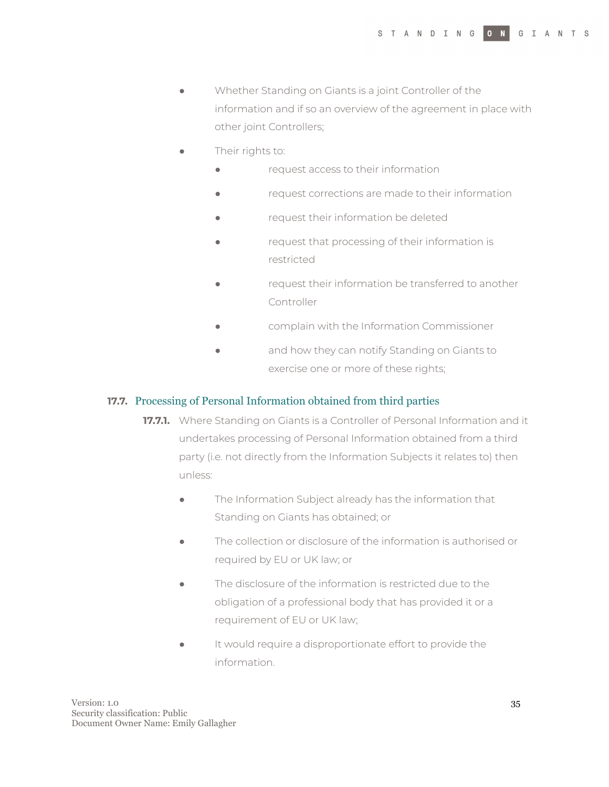- Whether Standing on Giants is a joint Controller of the information and if so an overview of the agreement in place with other joint Controllers;
- Their rights to:
	- request access to their information
	- request corrections are made to their information
	- request their information be deleted
	- request that processing of their information is restricted
	- request their information be transferred to another Controller
	- complain with the Information Commissioner
	- and how they can notify Standing on Giants to exercise one or more of these rights;

#### **17.7.** Processing of Personal Information obtained from third parties

- **17.7.1.** Where Standing on Giants is a Controller of Personal Information and it undertakes processing of Personal Information obtained from a third party (i.e. not directly from the Information Subjects it relates to) then unless:
	- The Information Subject already has the information that Standing on Giants has obtained; or
	- The collection or disclosure of the information is authorised or required by EU or UK law; or
	- The disclosure of the information is restricted due to the obligation of a professional body that has provided it or a requirement of EU or UK law;
	- It would require a disproportionate effort to provide the information.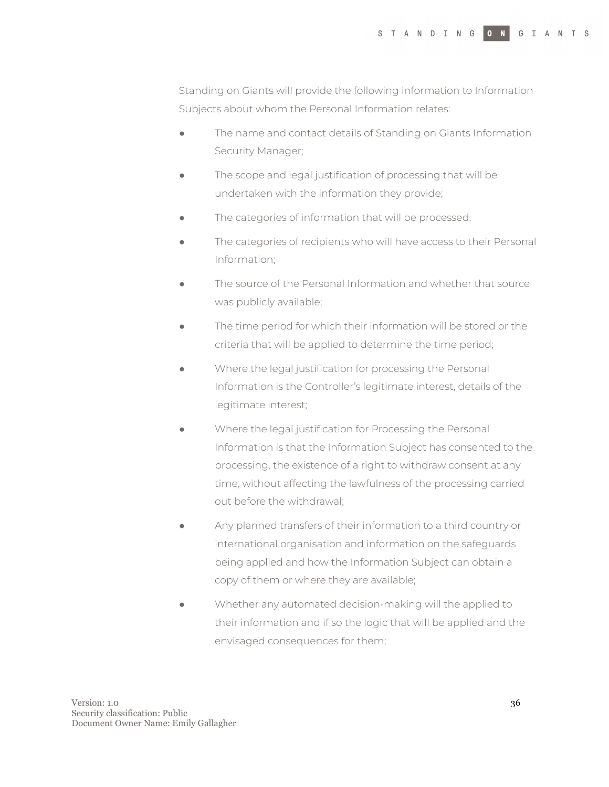Standing on Giants will provide the following information to Information Subjects about whom the Personal Information relates:

- The name and contact details of Standing on Giants Information Security Manager;
- The scope and legal justification of processing that will be undertaken with the information they provide;
- The categories of information that will be processed;
- The categories of recipients who will have access to their Personal Information;
- The source of the Personal Information and whether that source was publicly available;
- The time period for which their information will be stored or the criteria that will be applied to determine the time period;
- Where the legal justification for processing the Personal Information is the Controller's legitimate interest, details of the legitimate interest;
- Where the legal justification for Processing the Personal Information is that the Information Subject has consented to the processing, the existence of a right to withdraw consent at any time, without affecting the lawfulness of the processing carried out before the withdrawal;
- Any planned transfers of their information to a third country or international organisation and information on the safeguards being applied and how the Information Subject can obtain a copy of them or where they are available;
- Whether any automated decision-making will the applied to their information and if so the logic that will be applied and the envisaged consequences for them;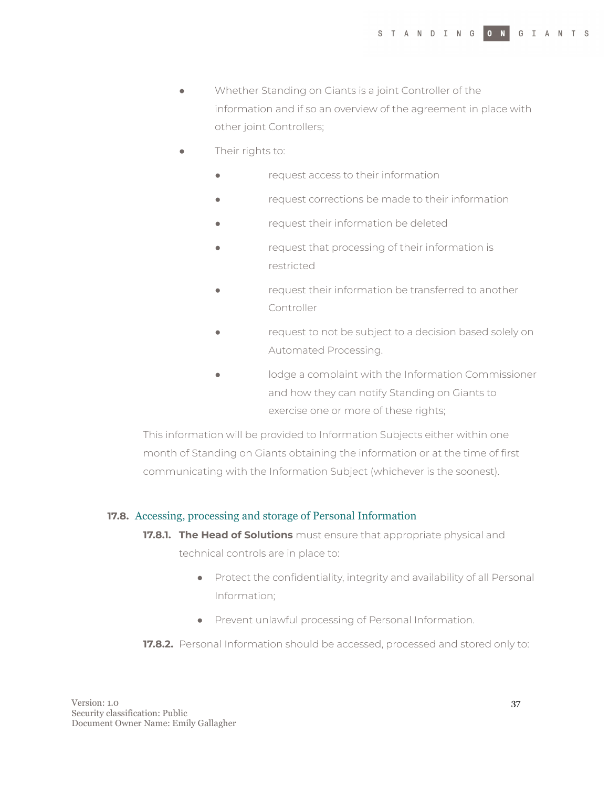- Whether Standing on Giants is a joint Controller of the information and if so an overview of the agreement in place with other joint Controllers;
- Their rights to:
	- request access to their information
	- request corrections be made to their information
	- request their information be deleted
	- request that processing of their information is restricted
	- request their information be transferred to another Controller
	- request to not be subject to a decision based solely on Automated Processing.
	- lodge a complaint with the Information Commissioner and how they can notify Standing on Giants to exercise one or more of these rights;

This information will be provided to Information Subjects either within one month of Standing on Giants obtaining the information or at the time of first communicating with the Information Subject (whichever is the soonest).

#### **17.8.** Accessing, processing and storage of Personal Information

- **17.8.1. The Head of Solutions** must ensure that appropriate physical and technical controls are in place to:
	- Protect the confidentiality, integrity and availability of all Personal Information;
	- Prevent unlawful processing of Personal Information.
- **17.8.2.** Personal Information should be accessed, processed and stored only to: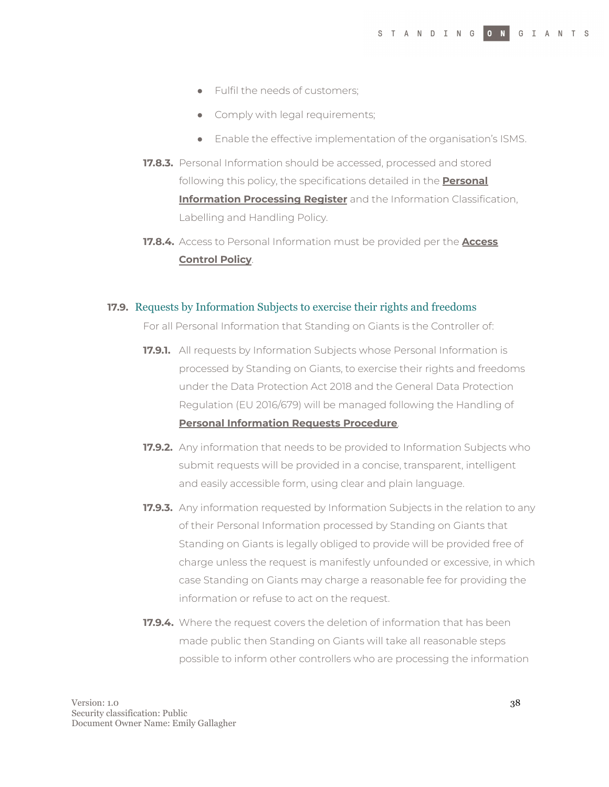- Fulfil the needs of customers;
- Comply with legal requirements;
- Enable the effective implementation of the organisation's ISMS.
- **17.8.3.** Personal Information should be accessed, processed and stored following this policy, the specifications detailed in the **Personal Information Processing Register** and the Information Classification, Labelling and Handling Policy.
- **17.8.4.** Access to Personal Information must be provided per the **Access Control Policy**.

#### **17.9.** Requests by Information Subjects to exercise their rights and freedoms

For all Personal Information that Standing on Giants is the Controller of:

- **17.9.1.** All requests by Information Subjects whose Personal Information is processed by Standing on Giants, to exercise their rights and freedoms under the Data Protection Act 2018 and the General Data Protection Regulation (EU 2016/679) will be managed following the Handling of **Personal Information Requests Procedure**.
- **17.9.2.** Any information that needs to be provided to Information Subjects who submit requests will be provided in a concise, transparent, intelligent and easily accessible form, using clear and plain language.
- **17.9.3.** Any information requested by Information Subjects in the relation to any of their Personal Information processed by Standing on Giants that Standing on Giants is legally obliged to provide will be provided free of charge unless the request is manifestly unfounded or excessive, in which case Standing on Giants may charge a reasonable fee for providing the information or refuse to act on the request.
- **17.9.4.** Where the request covers the deletion of information that has been made public then Standing on Giants will take all reasonable steps possible to inform other controllers who are processing the information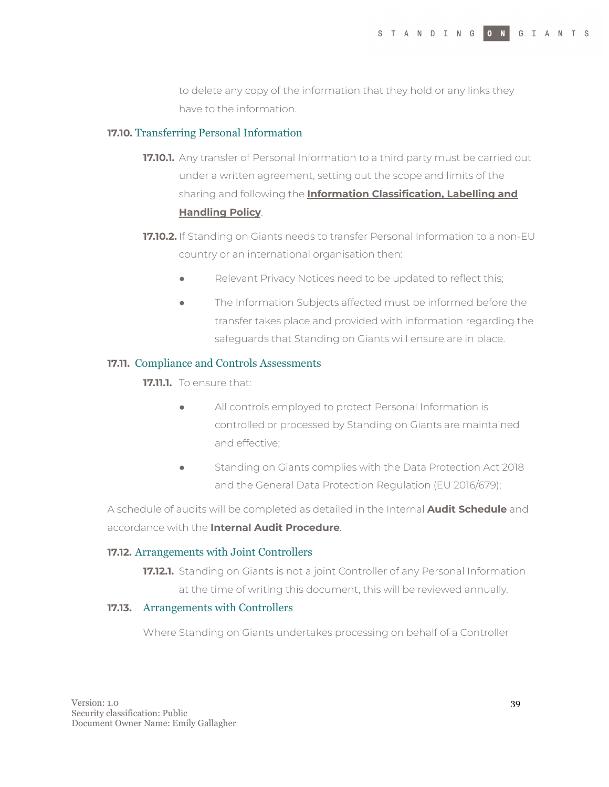to delete any copy of the information that they hold or any links they have to the information.

#### **17.10.** Transferring Personal Information

- **17.10.1.** Any transfer of Personal Information to a third party must be carried out under a written agreement, setting out the scope and limits of the sharing and following the **Information Classification, Labelling and Handling Policy**.
- **17.10.2.** If Standing on Giants needs to transfer Personal Information to a non-EU country or an international organisation then:
	- Relevant Privacy Notices need to be updated to reflect this;
	- The Information Subjects affected must be informed before the transfer takes place and provided with information regarding the safeguards that Standing on Giants will ensure are in place.

#### **17.11.** Compliance and Controls Assessments

**17.11.1.** To ensure that:

- All controls employed to protect Personal Information is controlled or processed by Standing on Giants are maintained and effective;
- **•** Standing on Giants complies with the Data Protection Act 2018 and the General Data Protection Regulation (EU 2016/679);

A schedule of audits will be completed as detailed in the Internal **Audit Schedule** and accordance with the **Internal Audit Procedure**.

#### **17.12.** Arrangements with Joint Controllers

**17.12.1.** Standing on Giants is not a joint Controller of any Personal Information at the time of writing this document, this will be reviewed annually.

#### **17.13.** Arrangements with Controllers

Where Standing on Giants undertakes processing on behalf of a Controller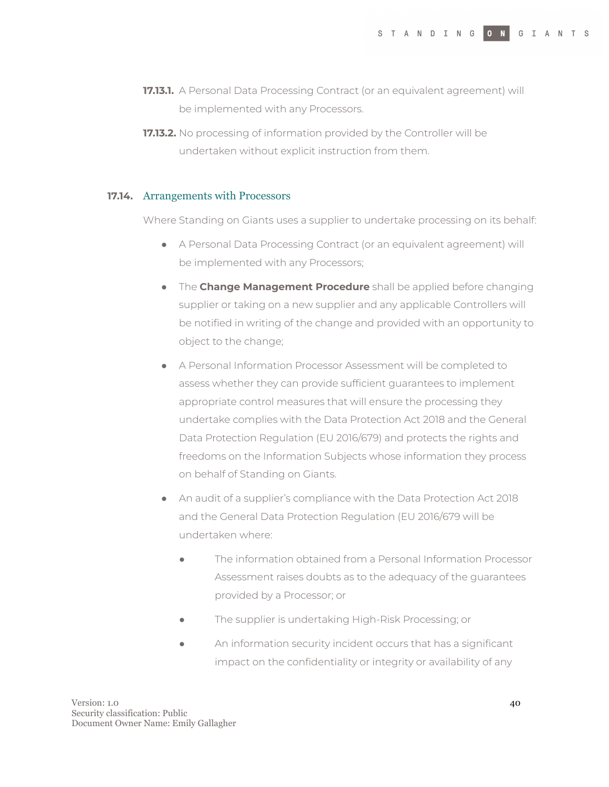- **17.13.1.** A Personal Data Processing Contract (or an equivalent agreement) will be implemented with any Processors.
- **17.13.2.** No processing of information provided by the Controller will be undertaken without explicit instruction from them.

#### **17.14.** Arrangements with Processors

Where Standing on Giants uses a supplier to undertake processing on its behalf:

- A Personal Data Processing Contract (or an equivalent agreement) will be implemented with any Processors;
- The **Change Management Procedure** shall be applied before changing supplier or taking on a new supplier and any applicable Controllers will be notified in writing of the change and provided with an opportunity to object to the change;
- A Personal Information Processor Assessment will be completed to assess whether they can provide sufficient guarantees to implement appropriate control measures that will ensure the processing they undertake complies with the Data Protection Act 2018 and the General Data Protection Regulation (EU 2016/679) and protects the rights and freedoms on the Information Subjects whose information they process on behalf of Standing on Giants.
- An audit of a supplier's compliance with the Data Protection Act 2018 and the General Data Protection Regulation (EU 2016/679 will be undertaken where:
	- The information obtained from a Personal Information Processor Assessment raises doubts as to the adequacy of the guarantees provided by a Processor; or
	- The supplier is undertaking High-Risk Processing; or
	- An information security incident occurs that has a significant impact on the confidentiality or integrity or availability of any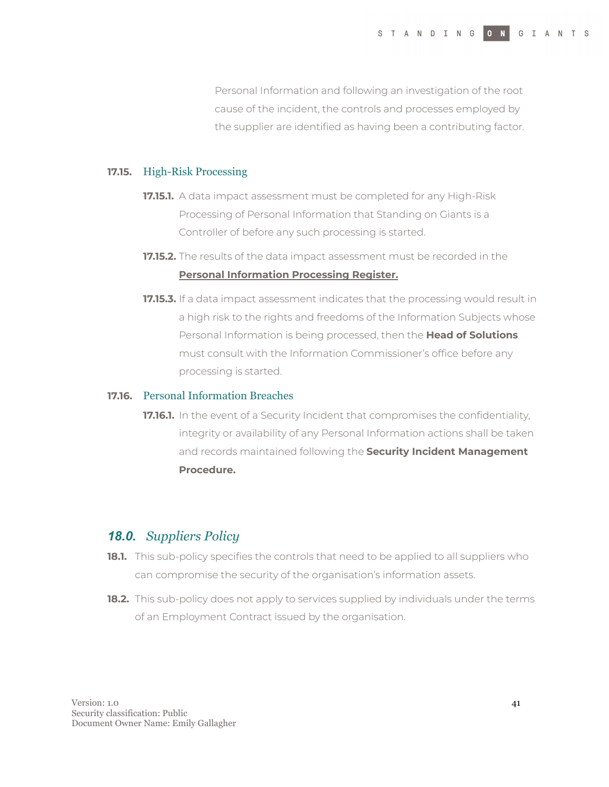Personal Information and following an investigation of the root cause of the incident, the controls and processes employed by the supplier are identified as having been a contributing factor.

#### **17.15.** High-Risk Processing

- **17.15.1.** A data impact assessment must be completed for any High-Risk Processing of Personal Information that Standing on Giants is a Controller of before any such processing is started.
- **17.15.2.** The results of the data impact assessment must be recorded in the **Personal Information Processing Register.**
- **17.15.3.** If a data impact assessment indicates that the processing would result in a high risk to the rights and freedoms of the Information Subjects whose Personal Information is being processed, then the **Head of Solutions** must consult with the Information Commissioner's office before any processing is started.

#### **17.16.** Personal Information Breaches

**17.16.1.** In the event of a Security Incident that compromises the confidentiality, integrity or availability of any Personal Information actions shall be taken and records maintained following the **Security Incident Management Procedure.**

### *18.0. Suppliers Policy*

- **18.1.** This sub-policy specifies the controls that need to be applied to all suppliers who can compromise the security of the organisation's information assets.
- **18.2.** This sub-policy does not apply to services supplied by individuals under the terms of an Employment Contract issued by the organisation.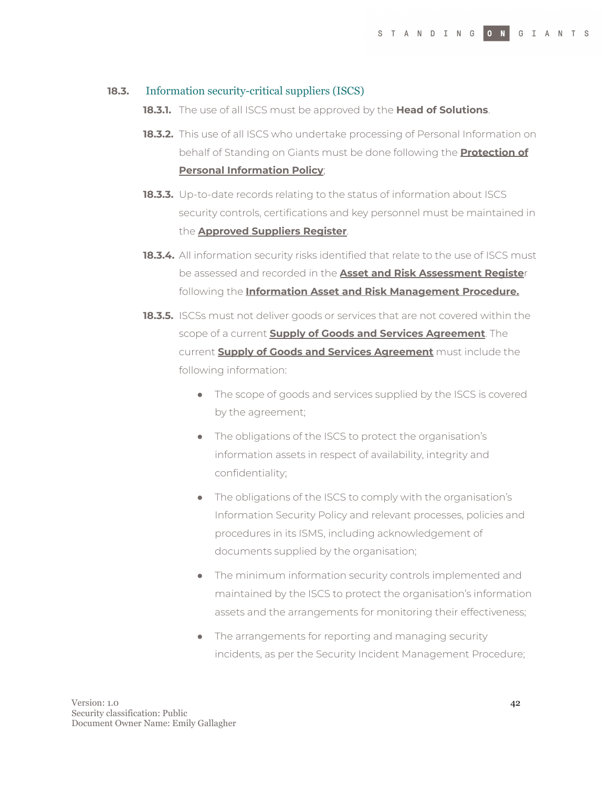#### **18.3.** Information security-critical suppliers (ISCS)

- **18.3.1.** The use of all ISCS must be approved by the **Head of Solutions**.
- **18.3.2.** This use of all ISCS who undertake processing of Personal Information on behalf of Standing on Giants must be done following the **Protection of Personal Information Policy**;
- **18.3.3.** Up-to-date records relating to the status of information about ISCS security controls, certifications and key personnel must be maintained in the **Approved Suppliers Register**.
- **18.3.4.** All information security risks identified that relate to the use of ISCS must be assessed and recorded in the **Asset and Risk Assessment Registe**r following the **Information Asset and Risk Management Procedure.**
- **18.3.5.** ISCSs must not deliver goods or services that are not covered within the scope of a current **Supply of Goods and Services Agreement**. The current **Supply of Goods and Services Agreement** must include the following information:
	- The scope of goods and services supplied by the ISCS is covered by the agreement;
	- The obligations of the ISCS to protect the organisation's information assets in respect of availability, integrity and confidentiality;
	- The obligations of the ISCS to comply with the organisation's Information Security Policy and relevant processes, policies and procedures in its ISMS, including acknowledgement of documents supplied by the organisation;
	- The minimum information security controls implemented and maintained by the ISCS to protect the organisation's information assets and the arrangements for monitoring their effectiveness;
	- The arrangements for reporting and managing security incidents, as per the Security Incident Management Procedure;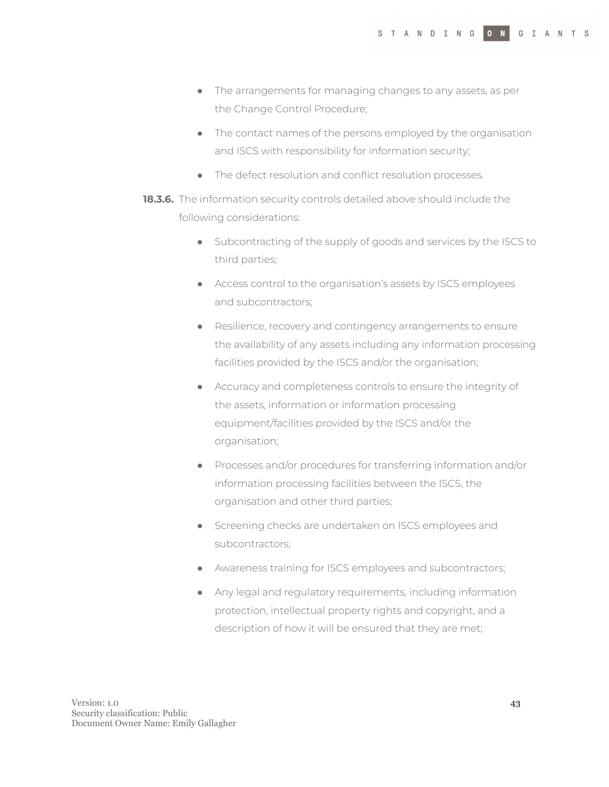- The arrangements for managing changes to any assets, as per the Change Control Procedure;
- The contact names of the persons employed by the organisation and ISCS with responsibility for information security;
- The defect resolution and conflict resolution processes.
- **18.3.6.** The information security controls detailed above should include the following considerations:
	- Subcontracting of the supply of goods and services by the ISCS to third parties;
	- Access control to the organisation's assets by ISCS employees and subcontractors;
	- Resilience, recovery and contingency arrangements to ensure the availability of any assets including any information processing facilities provided by the ISCS and/or the organisation;
	- Accuracy and completeness controls to ensure the integrity of the assets, information or information processing equipment/facilities provided by the ISCS and/or the organisation;
	- Processes and/or procedures for transferring information and/or information processing facilities between the ISCS, the organisation and other third parties;
	- Screening checks are undertaken on ISCS employees and subcontractors;
	- Awareness training for ISCS employees and subcontractors;
	- Any legal and regulatory requirements, including information protection, intellectual property rights and copyright, and a description of how it will be ensured that they are met;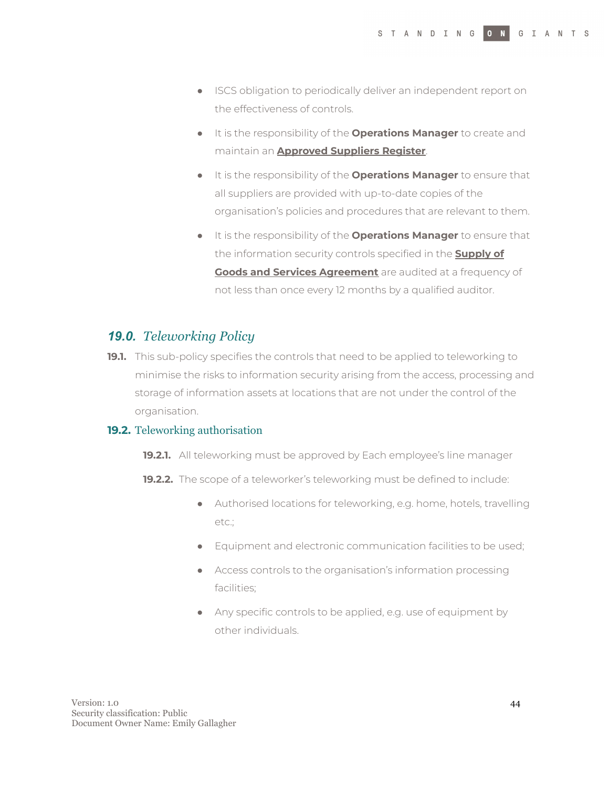- ISCS obligation to periodically deliver an independent report on the effectiveness of controls.
- It is the responsibility of the **Operations Manager** to create and maintain an **Approved Suppliers Register**.
- It is the responsibility of the **Operations Manager** to ensure that all suppliers are provided with up-to-date copies of the organisation's policies and procedures that are relevant to them.
- It is the responsibility of the **Operations Manager** to ensure that the information security controls specified in the **Supply of Goods and Services Agreement** are audited at a frequency of not less than once every 12 months by a qualified auditor.

## *19.0. Teleworking Policy*

**19.1.** This sub-policy specifies the controls that need to be applied to teleworking to minimise the risks to information security arising from the access, processing and storage of information assets at locations that are not under the control of the organisation.

#### **19.2.** Teleworking authorisation

- **19.2.1.** All teleworking must be approved by Each employee's line manager
- **19.2.2.** The scope of a teleworker's teleworking must be defined to include:
	- Authorised locations for teleworking, e.g. home, hotels, travelling etc.;
	- Equipment and electronic communication facilities to be used;
	- Access controls to the organisation's information processing facilities;
	- Any specific controls to be applied, e.g. use of equipment by other individuals.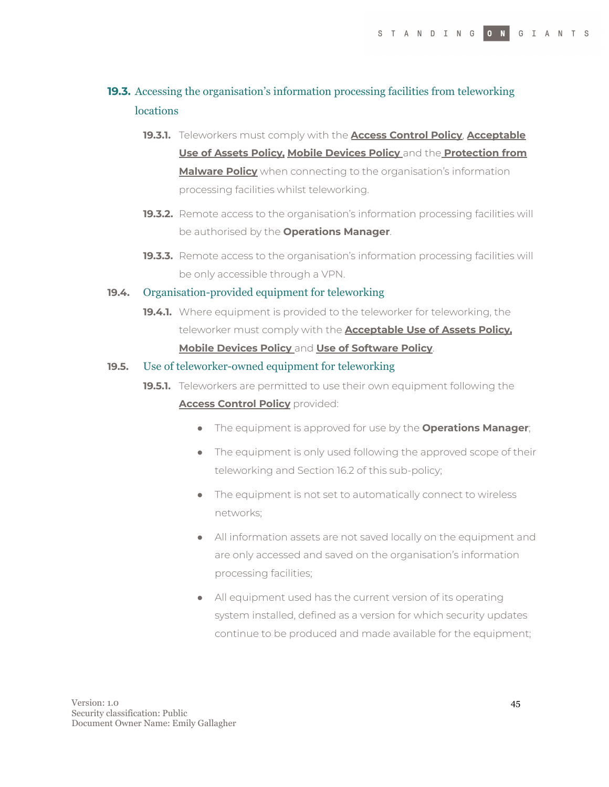## **19.3.** Accessing the organisation's information processing facilities from teleworking **locations**

- **19.3.1.** Teleworkers must comply with the **Access Control Policy**, **Acceptable Use of Assets Policy, Mobile Devices Policy** and the **Protection from Malware Policy** when connecting to the organisation's information processing facilities whilst teleworking.
- **19.3.2.** Remote access to the organisation's information processing facilities will be authorised by the **Operations Manager**.
- **19.3.3.** Remote access to the organisation's information processing facilities will be only accessible through a VPN.

#### **19.4.** Organisation-provided equipment for teleworking

**19.4.1.** Where equipment is provided to the teleworker for teleworking, the teleworker must comply with the **Acceptable Use of Assets Policy, Mobile Devices Policy** and **Use of Software Policy**.

#### **19.5.** Use of teleworker-owned equipment for teleworking

- **19.5.1.** Teleworkers are permitted to use their own equipment following the **Access Control Policy** provided:
	- The equipment is approved for use by the **Operations Manager**;
	- The equipment is only used following the approved scope of their teleworking and Section 16.2 of this sub-policy;
	- The equipment is not set to automatically connect to wireless networks;
	- All information assets are not saved locally on the equipment and are only accessed and saved on the organisation's information processing facilities;
	- All equipment used has the current version of its operating system installed, defined as a version for which security updates continue to be produced and made available for the equipment;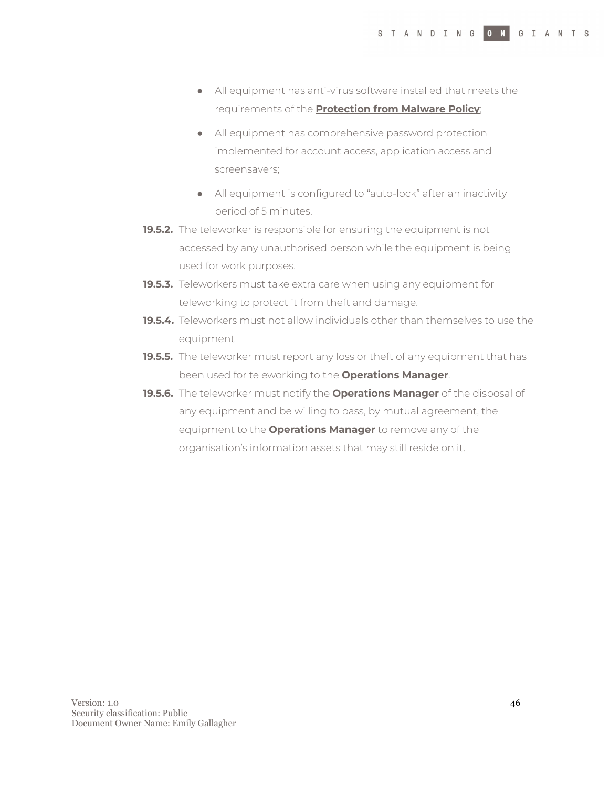- All equipment has anti-virus software installed that meets the requirements of the **Protection from Malware Policy**;
- All equipment has comprehensive password protection implemented for account access, application access and screensavers;
- All equipment is configured to "auto-lock" after an inactivity period of 5 minutes.
- **19.5.2.** The teleworker is responsible for ensuring the equipment is not accessed by any unauthorised person while the equipment is being used for work purposes.
- **19.5.3.** Teleworkers must take extra care when using any equipment for teleworking to protect it from theft and damage.
- **19.5.4.** Teleworkers must not allow individuals other than themselves to use the equipment
- **19.5.5.** The teleworker must report any loss or theft of any equipment that has been used for teleworking to the **Operations Manager**.
- **19.5.6.** The teleworker must notify the **Operations Manager** of the disposal of any equipment and be willing to pass, by mutual agreement, the equipment to the **Operations Manager** to remove any of the organisation's information assets that may still reside on it.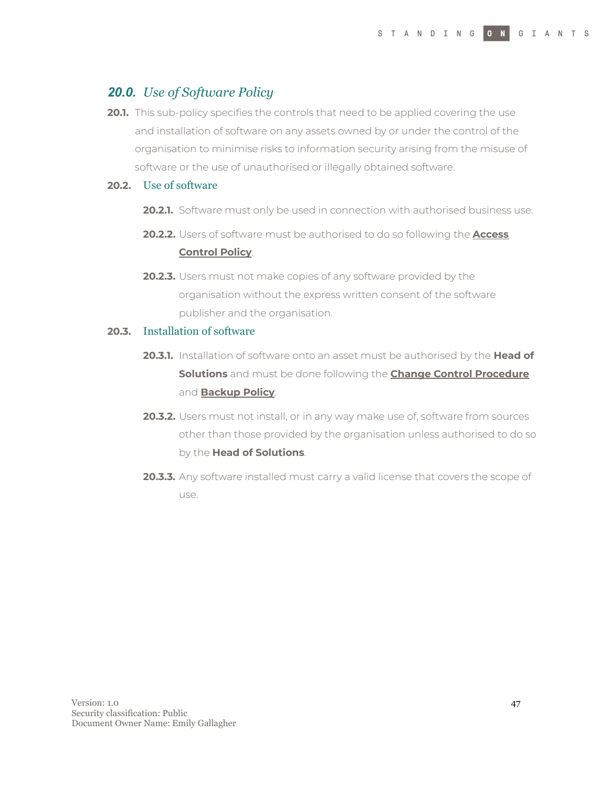## *20.0. Use of Software Policy*

**20.1.** This sub-policy specifies the controls that need to be applied covering the use and installation of software on any assets owned by or under the control of the organisation to minimise risks to information security arising from the misuse of software or the use of unauthorised or illegally obtained software.

#### **20.2.** Use of software

- **20.2.1.** Software must only be used in connection with authorised business use.
- **20.2.2.** Users of software must be authorised to do so following the **Access Control Policy**.
- **20.2.3.** Users must not make copies of any software provided by the organisation without the express written consent of the software publisher and the organisation.

#### **20.3.** Installation of software

- **20.3.1.** Installation of software onto an asset must be authorised by the **Head of Solutions** and must be done following the **Change Control Procedure** and **Backup Policy**.
- **20.3.2.** Users must not install, or in any way make use of, software from sources other than those provided by the organisation unless authorised to do so by the **Head of Solutions**.
- **20.3.3.** Any software installed must carry a valid license that covers the scope of use.